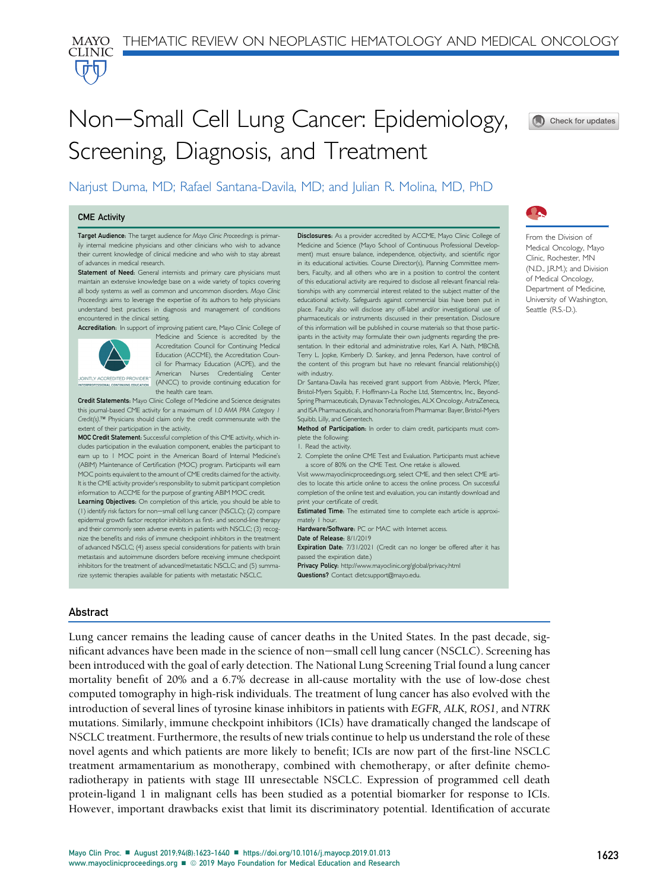

# Non-Small Cell Lung Cancer: Epidemiology, Screening, Diagnosis, and Treatment



#### CME Activity

। ਇਸ

Target Audience: The target audience for Mayo Clinic Proceedings is primarily internal medicine physicians and other clinicians who wish to advance their current knowledge of clinical medicine and who wish to stay abreast of advances in medical research.

Statement of Need: General internists and primary care physicians must maintain an extensive knowledge base on a wide variety of topics covering all body systems as well as common and uncommon disorders. Mayo Clinic Proceedings aims to leverage the expertise of its authors to help physicians understand best practices in diagnosis and management of conditions encountered in the clinical setting.



Accreditation: In support of improving patient care, Mayo Clinic College of Medicine and Science is accredited by the Accreditation Council for Continuing Medical Education (ACCME), the Accreditation Council for Pharmacy Education (ACPE), and the American Nurses Credentialing Center (ANCC) to provide continuing education for the health care team.

Credit Statements: Mayo Clinic College of Medicine and Science designates this journal-based CME activity for a maximum of 1.0 AMA PRA Category 1 Credit(s).<sup>™</sup> Physicians should claim only the credit commensurate with the extent of their participation in the activity.

MOC Credit Statement: Successful completion of this CME activity, which includes participation in the evaluation component, enables the participant to earn up to 1 MOC point in the American Board of Internal Medicine's (ABIM) Maintenance of Certification (MOC) program. Participants will earn MOC points equivalent to the amount of CME credits claimed for the activity. It is the CME activity provider's responsibility to submit participant completion information to ACCME for the purpose of granting ABIM MOC credit.

Learning Objectives: On completion of this article, you should be able to (1) identify risk factors for non-small cell lung cancer (NSCLC); (2) compare epidermal growth factor receptor inhibitors as first- and second-line therapy and their commonly seen adverse events in patients with NSCLC; (3) recognize the benefits and risks of immune checkpoint inhibitors in the treatment of advanced NSCLC; (4) assess special considerations for patients with brain metastasis and autoimmune disorders before receiving immune checkpoint inhibitors for the treatment of advanced/metastatic NSCLC; and (5) summarize systemic therapies available for patients with metastatic NSCLC.

Disclosures: As a provider accredited by ACCME, Mayo Clinic College of Medicine and Science (Mayo School of Continuous Professional Development) must ensure balance, independence, objectivity, and scientific rigor in its educational activities. Course Director(s), Planning Committee members, Faculty, and all others who are in a position to control the content of this educational activity are required to disclose all relevant financial relationships with any commercial interest related to the subject matter of the educational activity. Safeguards against commercial bias have been put in place. Faculty also will disclose any off-label and/or investigational use of pharmaceuticals or instruments discussed in their presentation. Disclosure of this information will be published in course materials so that those participants in the activity may formulate their own judgments regarding the presentation. In their editorial and administrative roles, Karl A. Nath, MBChB, Terry L. Jopke, Kimberly D. Sankey, and Jenna Pederson, have control of the content of this program but have no relevant financial relationship(s) with industry

Dr Santana-Davila has received grant support from Abbvie, Merck, Pfizer, Bristol-Myers Squibb, F. Hoffmann-La Roche Ltd, Stemcentrx, Inc., Beyond-Spring Pharmaceuticals, Dynavax Technologies, ALX Oncology, AstraZeneca, and ISA Pharmaceuticals, and honoraria from Pharmamar. Bayer, Bristol-Myers Squibb, Lilly, and Genentech.

Method of Participation: In order to claim credit, participants must complete the following:

1. Read the activity.

2. Complete the online CME Test and Evaluation. Participants must achieve a score of 80% on the CME Test. One retake is allowed.

Visit [www.mayoclinicproceedings.org,](http://www.mayoclinicproceedings.org) select CME, and then select CME articles to locate this article online to access the online process. On successful completion of the online test and evaluation, you can instantly download and print your certificate of credit.

Estimated Time: The estimated time to complete each article is approximately 1 hour.

Hardware/Software: PC or MAC with Internet access. Date of Release: 8/1/2019

Expiration Date: 7/31/2021 (Credit can no longer be offered after it has passed the expiration date.)

Privacy Policy: <http://www.mayoclinic.org/global/privacy.html> Questions? Contact [dletcsupport@mayo.edu.](mailto:dletcsupport@mayo.edu)

#### Abstract

Lung cancer remains the leading cause of cancer deaths in the United States. In the past decade, significant advances have been made in the science of non-small cell lung cancer (NSCLC). Screening has been introduced with the goal of early detection. The National Lung Screening Trial found a lung cancer mortality benefit of 20% and a 6.7% decrease in all-cause mortality with the use of low-dose chest computed tomography in high-risk individuals. The treatment of lung cancer has also evolved with the introduction of several lines of tyrosine kinase inhibitors in patients with EGFR, ALK, ROS1, and NTRK mutations. Similarly, immune checkpoint inhibitors (ICIs) have dramatically changed the landscape of NSCLC treatment. Furthermore, the results of new trials continue to help us understand the role of these novel agents and which patients are more likely to benefit; ICIs are now part of the first-line NSCLC treatment armamentarium as monotherapy, combined with chemotherapy, or after definite chemoradiotherapy in patients with stage III unresectable NSCLC. Expression of programmed cell death protein-ligand 1 in malignant cells has been studied as a potential biomarker for response to ICIs. However, important drawbacks exist that limit its discriminatory potential. Identification of accurate



From the Division of Medical Oncology, Mayo Clinic, Rochester, MN (N.D., J.R.M.); and Division of Medical Oncology, Department of Medicine, University of Washington, Seattle (R.S.-D.).

Check for updates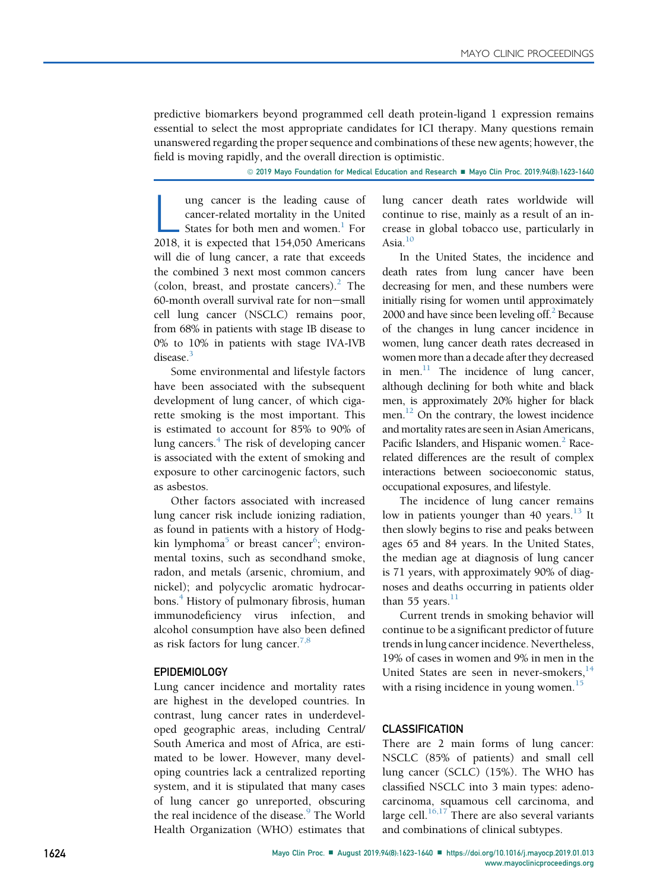predictive biomarkers beyond programmed cell death protein-ligand 1 expression remains essential to select the most appropriate candidates for ICI therapy. Many questions remain unanswered regarding the proper sequence and combinations of these new agents; however, the field is moving rapidly, and the overall direction is optimistic.

© 2019 Mayo Foundation for Medical Education and Research ■ Mayo Clin Proc. 2019;94(8):1623-1640

ung cancer is the leading cause of<br>cancer-related mortality in the United<br>States for both men and women.<sup>1</sup> For<br>2018 it is expected that 154 050 Americans cancer-related mortality in the United States for both men and women.<sup>1</sup> For 2018, it is expected that 154,050 Americans will die of lung cancer, a rate that exceeds the combined 3 next most common cancers (colon, breast, and prostate cancers). $^2$  $^2$  The 60-month overall survival rate for non-small cell lung cancer (NSCLC) remains poor, from 68% in patients with stage IB disease to 0% to 10% in patients with stage IVA-IVB disease.<sup>3</sup>

Some environmental and lifestyle factors have been associated with the subsequent development of lung cancer, of which cigarette smoking is the most important. This is estimated to account for 85% to 90% of lung cancers.<sup>[4](#page-14-0)</sup> The risk of developing cancer is associated with the extent of smoking and exposure to other carcinogenic factors, such as asbestos.

Other factors associated with increased lung cancer risk include ionizing radiation, as found in patients with a history of Hodg-kin lymphoma<sup>[5](#page-14-0)</sup> or breast cancer<sup>[6](#page-14-0)</sup>; environmental toxins, such as secondhand smoke, radon, and metals (arsenic, chromium, and nickel); and polycyclic aromatic hydrocarbons.[4](#page-14-0) History of pulmonary fibrosis, human immunodeficiency virus infection, and alcohol consumption have also been defined as risk factors for lung cancer.<sup>[7,8](#page-14-0)</sup>

### EPIDEMIOLOGY

Lung cancer incidence and mortality rates are highest in the developed countries. In contrast, lung cancer rates in underdeveloped geographic areas, including Central/ South America and most of Africa, are estimated to be lower. However, many developing countries lack a centralized reporting system, and it is stipulated that many cases of lung cancer go unreported, obscuring the real incidence of the disease.<sup>[9](#page-14-0)</sup> The World Health Organization (WHO) estimates that

lung cancer death rates worldwide will continue to rise, mainly as a result of an increase in global tobacco use, particularly in Asia. $10$ 

In the United States, the incidence and death rates from lung cancer have been decreasing for men, and these numbers were initially rising for women until approximately 2000 and have since been leveling off. $\frac{2}{3}$  Because of the changes in lung cancer incidence in women, lung cancer death rates decreased in women more than a decade after they decreased in men. $^{11}$  The incidence of lung cancer, although declining for both white and black men, is approximately 20% higher for black men. $^{12}$  On the contrary, the lowest incidence and mortality rates are seen in Asian Americans, Pacific Islanders, and Hispanic women.<sup>2</sup> Racerelated differences are the result of complex interactions between socioeconomic status, occupational exposures, and lifestyle.

The incidence of lung cancer remains low in patients younger than 40 years. $^{13}$  $^{13}$  $^{13}$  It then slowly begins to rise and peaks between ages 65 and 84 years. In the United States, the median age at diagnosis of lung cancer is 71 years, with approximately 90% of diagnoses and deaths occurring in patients older than 55 years. $11$ 

Current trends in smoking behavior will continue to be a significant predictor of future trends in lung cancer incidence. Nevertheless, 19% of cases in women and 9% in men in the United States are seen in never-smokers, $14$ with a rising incidence in young women. $15$ 

# **CLASSIFICATION**

There are 2 main forms of lung cancer: NSCLC (85% of patients) and small cell lung cancer (SCLC) (15%). The WHO has classified NSCLC into 3 main types: adenocarcinoma, squamous cell carcinoma, and large cell. $16,17$  There are also several variants and combinations of clinical subtypes.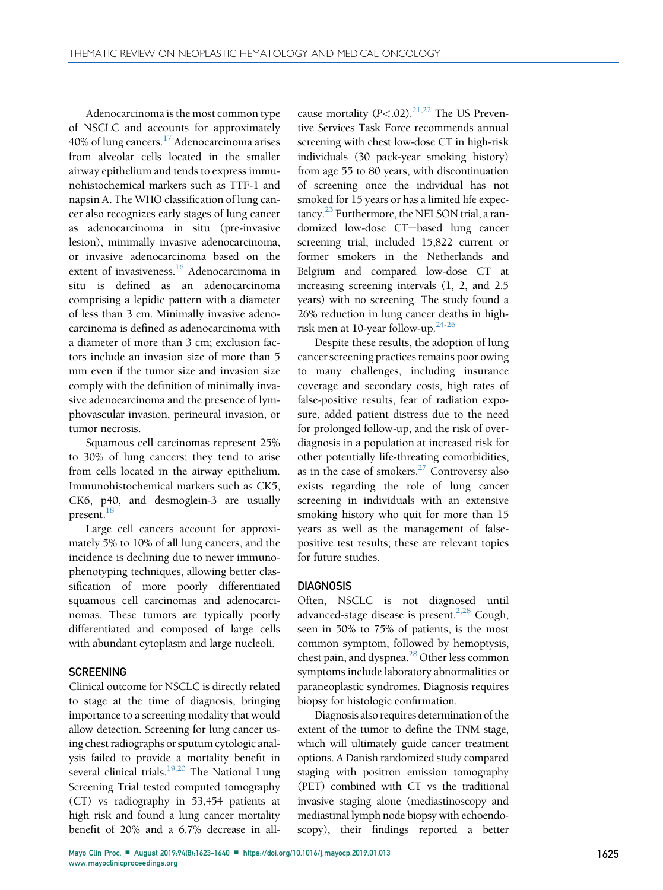Adenocarcinoma is the most common type of NSCLC and accounts for approximately 40% of lung cancers.[17](#page-14-0) Adenocarcinoma arises from alveolar cells located in the smaller airway epithelium and tends to express immunohistochemical markers such as TTF-1 and napsin A. The WHO classification of lung cancer also recognizes early stages of lung cancer as adenocarcinoma in situ (pre-invasive lesion), minimally invasive adenocarcinoma, or invasive adenocarcinoma based on the extent of invasiveness.<sup>16</sup> Adenocarcinoma in situ is defined as an adenocarcinoma comprising a lepidic pattern with a diameter of less than 3 cm. Minimally invasive adenocarcinoma is defined as adenocarcinoma with a diameter of more than 3 cm; exclusion factors include an invasion size of more than 5 mm even if the tumor size and invasion size comply with the definition of minimally invasive adenocarcinoma and the presence of lymphovascular invasion, perineural invasion, or tumor necrosis.

Squamous cell carcinomas represent 25% to 30% of lung cancers; they tend to arise from cells located in the airway epithelium. Immunohistochemical markers such as CK5, CK6, p40, and desmoglein-3 are usually present. $^{18}$  $^{18}$  $^{18}$ 

Large cell cancers account for approximately 5% to 10% of all lung cancers, and the incidence is declining due to newer immunophenotyping techniques, allowing better classification of more poorly differentiated squamous cell carcinomas and adenocarcinomas. These tumors are typically poorly differentiated and composed of large cells with abundant cytoplasm and large nucleoli.

## **SCREENING**

Clinical outcome for NSCLC is directly related to stage at the time of diagnosis, bringing importance to a screening modality that would allow detection. Screening for lung cancer using chest radiographs or sputum cytologic analysis failed to provide a mortality benefit in several clinical trials.<sup>[19,20](#page-14-0)</sup> The National Lung Screening Trial tested computed tomography (CT) vs radiography in 53,454 patients at high risk and found a lung cancer mortality benefit of 20% and a 6.7% decrease in allcause mortality  $(P<.02)$ .<sup>21,22</sup> The US Preventive Services Task Force recommends annual screening with chest low-dose CT in high-risk individuals (30 pack-year smoking history) from age 55 to 80 years, with discontinuation of screening once the individual has not smoked for 15 years or has a limited life expectancy.<sup>23</sup> Furthermore, the NELSON trial, a randomized low-dose CT-based lung cancer screening trial, included 15,822 current or former smokers in the Netherlands and Belgium and compared low-dose CT at increasing screening intervals (1, 2, and 2.5 years) with no screening. The study found a 26% reduction in lung cancer deaths in highrisk men at 10-year follow-up. $24-26$ 

Despite these results, the adoption of lung cancer screening practices remains poor owing to many challenges, including insurance coverage and secondary costs, high rates of false-positive results, fear of radiation exposure, added patient distress due to the need for prolonged follow-up, and the risk of overdiagnosis in a population at increased risk for other potentially life-threating comorbidities, as in the case of smokers. $27$  Controversy also exists regarding the role of lung cancer screening in individuals with an extensive smoking history who quit for more than 15 years as well as the management of falsepositive test results; these are relevant topics for future studies.

# **DIAGNOSIS**

Often, NSCLC is not diagnosed until advanced-stage disease is present.<sup>2,28</sup> Cough, seen in 50% to 75% of patients, is the most common symptom, followed by hemoptysis, chest pain, and dyspnea.<sup>28</sup> Other less common symptoms include laboratory abnormalities or paraneoplastic syndromes. Diagnosis requires biopsy for histologic confirmation.

Diagnosis also requires determination of the extent of the tumor to define the TNM stage, which will ultimately guide cancer treatment options. A Danish randomized study compared staging with positron emission tomography (PET) combined with CT vs the traditional invasive staging alone (mediastinoscopy and mediastinal lymph node biopsy with echoendoscopy), their findings reported a better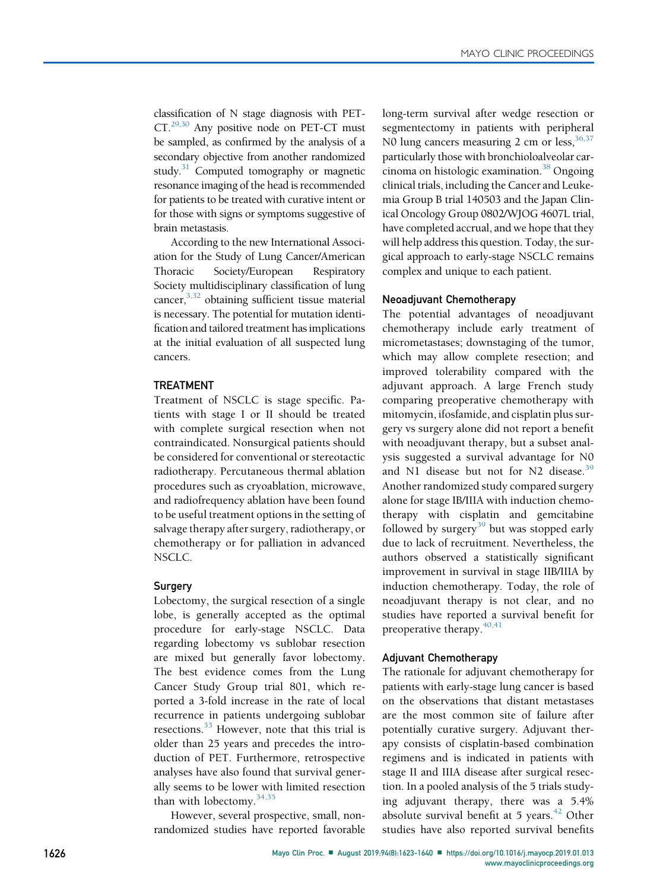classification of N stage diagnosis with PET- $CT<sup>29,30</sup>$  Any positive node on PET-CT must be sampled, as confirmed by the analysis of a secondary objective from another randomized study. $31$  Computed tomography or magnetic resonance imaging of the head is recommended for patients to be treated with curative intent or for those with signs or symptoms suggestive of brain metastasis.

According to the new International Association for the Study of Lung Cancer/American Thoracic Society/European Respiratory Society multidisciplinary classification of lung cancer,  $3,32$  obtaining sufficient tissue material is necessary. The potential for mutation identification and tailored treatment has implications at the initial evaluation of all suspected lung cancers.

### TREATMENT

Treatment of NSCLC is stage specific. Patients with stage I or II should be treated with complete surgical resection when not contraindicated. Nonsurgical patients should be considered for conventional or stereotactic radiotherapy. Percutaneous thermal ablation procedures such as cryoablation, microwave, and radiofrequency ablation have been found to be useful treatment options in the setting of salvage therapy after surgery, radiotherapy, or chemotherapy or for palliation in advanced NSCLC.

#### Surgery

Lobectomy, the surgical resection of a single lobe, is generally accepted as the optimal procedure for early-stage NSCLC. Data regarding lobectomy vs sublobar resection are mixed but generally favor lobectomy. The best evidence comes from the Lung Cancer Study Group trial 801, which reported a 3-fold increase in the rate of local recurrence in patients undergoing sublobar resections.<sup>33</sup> However, note that this trial is older than 25 years and precedes the introduction of PET. Furthermore, retrospective analyses have also found that survival generally seems to be lower with limited resection than with lobectomy.<sup>[34,35](#page-15-0)</sup>

However, several prospective, small, nonrandomized studies have reported favorable long-term survival after wedge resection or segmentectomy in patients with peripheral N0 lung cancers measuring 2 cm or less,  $36,37$ particularly those with bronchioloalveolar carcinoma on histologic examination.<sup>38</sup> Ongoing clinical trials, including the Cancer and Leukemia Group B trial 140503 and the Japan Clinical Oncology Group 0802/WJOG 4607L trial, have completed accrual, and we hope that they will help address this question. Today, the surgical approach to early-stage NSCLC remains complex and unique to each patient.

# Neoadjuvant Chemotherapy

The potential advantages of neoadjuvant chemotherapy include early treatment of micrometastases; downstaging of the tumor, which may allow complete resection; and improved tolerability compared with the adjuvant approach. A large French study comparing preoperative chemotherapy with mitomycin, ifosfamide, and cisplatin plus surgery vs surgery alone did not report a benefit with neoadjuvant therapy, but a subset analysis suggested a survival advantage for N0 and N1 disease but not for N2 disease.<sup>[39](#page-15-0)</sup> Another randomized study compared surgery alone for stage IB/IIIA with induction chemotherapy with cisplatin and gemcitabine followed by surgery $39$  but was stopped early due to lack of recruitment. Nevertheless, the authors observed a statistically significant improvement in survival in stage IIB/IIIA by induction chemotherapy. Today, the role of neoadjuvant therapy is not clear, and no studies have reported a survival benefit for preoperative therapy.<sup>[40,41](#page-15-0)</sup>

#### Adjuvant Chemotherapy

The rationale for adjuvant chemotherapy for patients with early-stage lung cancer is based on the observations that distant metastases are the most common site of failure after potentially curative surgery. Adjuvant therapy consists of cisplatin-based combination regimens and is indicated in patients with stage II and IIIA disease after surgical resection. In a pooled analysis of the 5 trials studying adjuvant therapy, there was a 5.4% absolute survival benefit at 5 years. $42$  Other studies have also reported survival benefits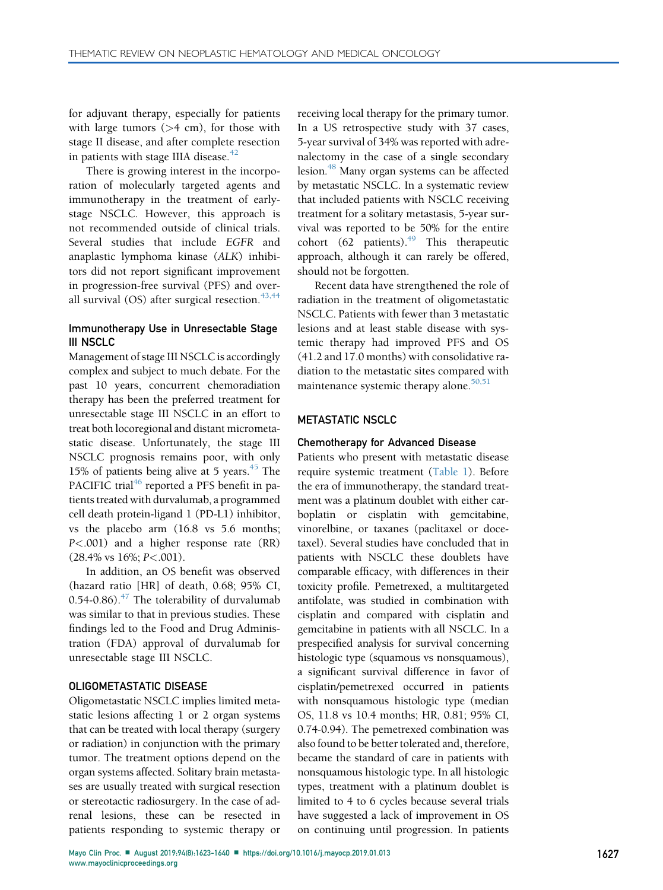for adjuvant therapy, especially for patients with large tumors  $(>4$  cm), for those with stage II disease, and after complete resection in patients with stage IIIA disease. $^{42}$  $^{42}$  $^{42}$ 

There is growing interest in the incorporation of molecularly targeted agents and immunotherapy in the treatment of earlystage NSCLC. However, this approach is not recommended outside of clinical trials. Several studies that include EGFR and anaplastic lymphoma kinase (ALK) inhibitors did not report significant improvement in progression-free survival (PFS) and overall survival  $(OS)$  after surgical resection.<sup>[43,44](#page-15-0)</sup>

# Immunotherapy Use in Unresectable Stage III NSCLC

Management of stage III NSCLC is accordingly complex and subject to much debate. For the past 10 years, concurrent chemoradiation therapy has been the preferred treatment for unresectable stage III NSCLC in an effort to treat both locoregional and distant micrometastatic disease. Unfortunately, the stage III NSCLC prognosis remains poor, with only 15% of patients being alive at 5 years.<sup>45</sup> The PACIFIC trial<sup>[46](#page-15-0)</sup> reported a PFS benefit in patients treated with durvalumab, a programmed cell death protein-ligand 1 (PD-L1) inhibitor, vs the placebo arm (16.8 vs 5.6 months; P<.001) and a higher response rate (RR)  $(28.4\% \text{ vs } 16\%; P < .001).$ 

In addition, an OS benefit was observed (hazard ratio [HR] of death, 0.68; 95% CI, 0.54-0.86). $^{47}$  $^{47}$  $^{47}$  The tolerability of durvalumab was similar to that in previous studies. These findings led to the Food and Drug Administration (FDA) approval of durvalumab for unresectable stage III NSCLC.

# OLIGOMETASTATIC DISEASE

Oligometastatic NSCLC implies limited metastatic lesions affecting 1 or 2 organ systems that can be treated with local therapy (surgery or radiation) in conjunction with the primary tumor. The treatment options depend on the organ systems affected. Solitary brain metastases are usually treated with surgical resection or stereotactic radiosurgery. In the case of adrenal lesions, these can be resected in patients responding to systemic therapy or

receiving local therapy for the primary tumor. In a US retrospective study with 37 cases, 5-year survival of 34% was reported with adrenalectomy in the case of a single secondary lesion.<sup>[48](#page-15-0)</sup> Many organ systems can be affected by metastatic NSCLC. In a systematic review that included patients with NSCLC receiving treatment for a solitary metastasis, 5-year survival was reported to be 50% for the entire cohort  $(62 \text{ patients})$ .<sup>49</sup> This therapeutic approach, although it can rarely be offered, should not be forgotten.

Recent data have strengthened the role of radiation in the treatment of oligometastatic NSCLC. Patients with fewer than 3 metastatic lesions and at least stable disease with systemic therapy had improved PFS and OS (41.2 and 17.0 months) with consolidative radiation to the metastatic sites compared with maintenance systemic therapy alone. $50,51$ 

## METASTATIC NSCLC

#### Chemotherapy for Advanced Disease

Patients who present with metastatic disease require systemic treatment [\(Table 1\)](#page-5-0). Before the era of immunotherapy, the standard treatment was a platinum doublet with either carboplatin or cisplatin with gemcitabine, vinorelbine, or taxanes (paclitaxel or docetaxel). Several studies have concluded that in patients with NSCLC these doublets have comparable efficacy, with differences in their toxicity profile. Pemetrexed, a multitargeted antifolate, was studied in combination with cisplatin and compared with cisplatin and gemcitabine in patients with all NSCLC. In a prespecified analysis for survival concerning histologic type (squamous vs nonsquamous), a significant survival difference in favor of cisplatin/pemetrexed occurred in patients with nonsquamous histologic type (median OS, 11.8 vs 10.4 months; HR, 0.81; 95% CI, 0.74-0.94). The pemetrexed combination was also found to be better tolerated and, therefore, became the standard of care in patients with nonsquamous histologic type. In all histologic types, treatment with a platinum doublet is limited to 4 to 6 cycles because several trials have suggested a lack of improvement in OS on continuing until progression. In patients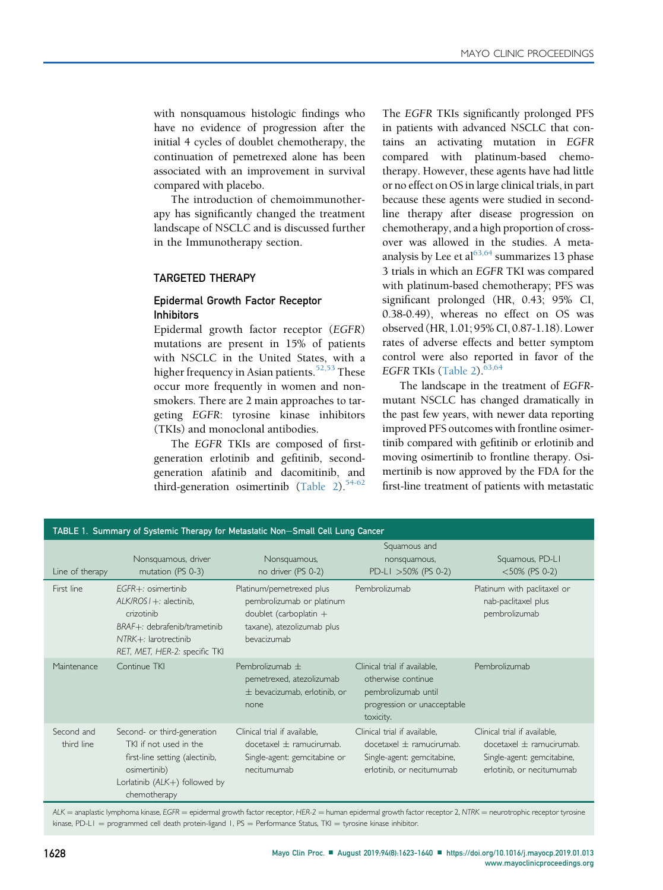<span id="page-5-0"></span>with nonsquamous histologic findings who have no evidence of progression after the initial 4 cycles of doublet chemotherapy, the continuation of pemetrexed alone has been associated with an improvement in survival compared with placebo.

The introduction of chemoimmunotherapy has significantly changed the treatment landscape of NSCLC and is discussed further in the Immunotherapy section.

# TARGETED THERAPY

# Epidermal Growth Factor Receptor Inhibitors

Epidermal growth factor receptor (EGFR) mutations are present in 15% of patients with NSCLC in the United States, with a higher frequency in Asian patients.<sup>[52,53](#page-15-0)</sup> These occur more frequently in women and nonsmokers. There are 2 main approaches to targeting EGFR: tyrosine kinase inhibitors (TKIs) and monoclonal antibodies.

The EGFR TKIs are composed of firstgeneration erlotinib and gefitinib, secondgeneration afatinib and dacomitinib, and third-generation osimertinib ([Table 2\)](#page-6-0).<sup>54-62</sup> The EGFR TKIs significantly prolonged PFS in patients with advanced NSCLC that contains an activating mutation in EGFR compared with platinum-based chemotherapy. However, these agents have had little or no effect on OS in large clinical trials, in part because these agents were studied in secondline therapy after disease progression on chemotherapy, and a high proportion of crossover was allowed in the studies. A metaanalysis by Lee et al $^{63,64}$  summarizes 13 phase 3 trials in which an EGFR TKI was compared with platinum-based chemotherapy; PFS was significant prolonged (HR, 0.43; 95% CI, 0.38-0.49), whereas no effect on OS was observed (HR, 1.01; 95% CI, 0.87-1.18). Lower rates of adverse effects and better symptom control were also reported in favor of the EGFR TKIs [\(Table 2](#page-6-0)).<sup>63,64</sup>

The landscape in the treatment of EGFRmutant NSCLC has changed dramatically in the past few years, with newer data reporting improved PFS outcomes with frontline osimertinib compared with gefitinib or erlotinib and moving osimertinib to frontline therapy. Osimertinib is now approved by the FDA for the first-line treatment of patients with metastatic

|                          |                                                                                                                                                            | TABLE 1. Summary of Systemic Therapy for Metastatic Non-Small Cell Lung Cancer<br>Squamous and<br>Squamous, PD-LI<br>Nonsquamous,<br>nonsquamous, |                                                                                                                            |                                                                                                                            |  |  |
|--------------------------|------------------------------------------------------------------------------------------------------------------------------------------------------------|---------------------------------------------------------------------------------------------------------------------------------------------------|----------------------------------------------------------------------------------------------------------------------------|----------------------------------------------------------------------------------------------------------------------------|--|--|
| Line of therapy          | Nonsquamous, driver<br>mutation (PS 0-3)                                                                                                                   | no driver (PS 0-2)                                                                                                                                | PD-LI $>50\%$ (PS 0-2)                                                                                                     | $<$ 50% (PS 0-2)                                                                                                           |  |  |
| First line               | $EGFR +$ : osimertinib<br>$ALK/ROSI +: alectinib$ ,<br>crizotinib<br>BRAF+: debrafenib/trametinib<br>NTRK+: larotrectinib<br>RET, MET, HER-2: specific TKI | Platinum/pemetrexed plus<br>pembrolizumab or platinum<br>doublet (carboplatin $+$<br>taxane), atezolizumab plus<br>bevacizumab                    | Pembrolizumab                                                                                                              | Platinum with paclitaxel or<br>nab-paclitaxel plus<br>pembrolizumab                                                        |  |  |
| Maintenance              | Continue TKI                                                                                                                                               | Pembrolizumab $+$<br>pemetrexed, atezolizumab<br>$\pm$ bevacizumab, erlotinib, or<br>none                                                         | Clinical trial if available,<br>otherwise continue<br>pembrolizumab until<br>progression or unacceptable<br>toxicity.      | Pembrolizumab                                                                                                              |  |  |
| Second and<br>third line | Second- or third-generation<br>TKI if not used in the<br>first-line setting (alectinib,<br>osimertinib)<br>Lorlatinib $(ALK+)$ followed by<br>chemotherapy | Clinical trial if available,<br>$d$ ocetaxel $\pm$ ramucirumab.<br>Single-agent: gemcitabine or<br>necitumumab                                    | Clinical trial if available,<br>$d$ ocetaxel $\pm$ ramucirumab.<br>Single-agent: gemcitabine,<br>erlotinib, or necitumumab | Clinical trial if available,<br>$d$ ocetaxel $\pm$ ramucirumab.<br>Single-agent: gemcitabine,<br>erlotinib, or necitumumab |  |  |

ALK = anaplastic lymphoma kinase, EGFR = epidermal growth factor receptor, HER-2 = human epidermal growth factor receptor 2, NTRK = neurotrophic receptor tyrosine  $k$ inase, PD-L1 = programmed cell death protein-ligand 1, PS = Performance Status, TKI = tyrosine kinase inhibitor.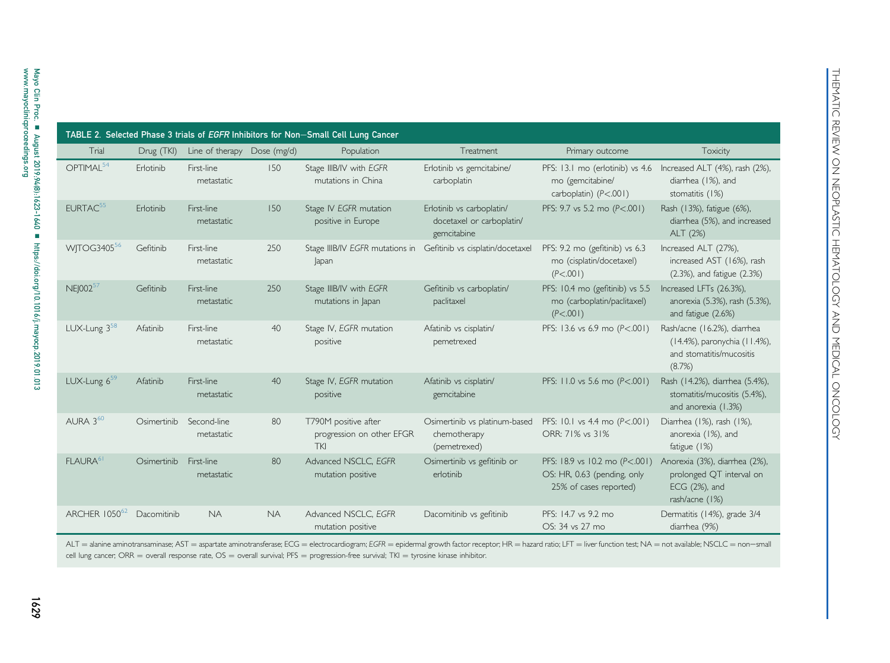<span id="page-6-0"></span>

| Trial                     | Drug (TKI)              | Line of therapy Dose (mg/d) |           | TABLE 2. Selected Phase 3 trials of EGFR Inhibitors for Non-Small Cell Lung Cancer<br>Population | <b>Treatment</b>                                                      | Primary outcome                                                                        | Toxicity                                                                                                |
|---------------------------|-------------------------|-----------------------------|-----------|--------------------------------------------------------------------------------------------------|-----------------------------------------------------------------------|----------------------------------------------------------------------------------------|---------------------------------------------------------------------------------------------------------|
| OPTIMAL <sup>54</sup>     | Erlotinib               | First-line<br>metastatic    | 150       | Stage IIIB/IV with EGFR<br>mutations in China                                                    | Erlotinib vs gemcitabine/<br>carboplatin                              | mo (gemcitabine/<br>carboplatin) (P<.001)                                              | PFS: 13.1 mo (erlotinib) vs 4.6 Increased ALT (4%), rash (2%),<br>diarrhea (1%), and<br>stomatitis (1%) |
| EURTAC <sup>55</sup>      | Erlotinib               | First-line<br>metastatic    | 150       | Stage IV EGFR mutation<br>positive in Europe                                                     | Erlotinib vs carboplatin/<br>docetaxel or carboplatin/<br>gemcitabine | PFS: 9.7 vs 5.2 mo (P<.001)                                                            | Rash (13%), fatigue (6%),<br>diarrhea (5%), and increased<br>ALT (2%)                                   |
| WJTOG3405 <sup>56</sup>   | Gefitinib               | First-line<br>metastatic    | 250       | Stage IIIB/IV EGFR mutations in Gefitinib vs cisplatin/docetaxel<br>Japan                        |                                                                       | PFS: 9.2 mo (gefitinib) vs 6.3<br>mo (cisplatin/docetaxel)<br>(P<.001)                 | Increased ALT (27%),<br>increased AST (16%), rash<br>(2.3%), and fatigue (2.3%)                         |
| NE 002 <sup>57</sup>      | Gefitinib               | First-line<br>metastatic    | 250       | Stage IIIB/IV with EGFR<br>mutations in Japan                                                    | Gefitinib vs carboplatin/<br>paclitaxel                               | PFS: 10.4 mo (gefitinib) vs 5.5<br>mo (carboplatin/paclitaxel)<br>(P<.001)             | Increased LFTs (26.3%),<br>anorexia (5.3%), rash (5.3%),<br>and fatigue (2.6%)                          |
| LUX-Lung $3^{58}$         | Afatinib                | First-line<br>metastatic    | 40        | Stage IV, EGFR mutation<br>positive                                                              | Afatinib vs cisplatin/<br>pemetrexed                                  | PFS: 13.6 vs 6.9 mo (P<.001)                                                           | Rash/acne (16.2%), diarrhea<br>(14.4%), paronychia (11.4%),<br>and stomatitis/mucositis<br>(8.7%)       |
| LUX-Lung $6^{59}$         | Afatinib                | First-line<br>metastatic    | 40        | Stage IV, EGFR mutation<br>positive                                                              | Afatinib vs cisplatin/<br>gemcitabine                                 | PFS: 11.0 vs 5.6 mo (P<.001)                                                           | Rash (14.2%), diarrhea (5.4%),<br>stomatitis/mucositis (5.4%),<br>and anorexia (1.3%)                   |
| AURA $3^{60}$             | Osimertinib Second-line | metastatic                  | 80        | T790M positive after<br>progression on other EFGR<br>TKI                                         | Osimertinib vs platinum-based<br>chemotherapy<br>(pemetrexed)         | PFS: 10.1 vs 4.4 mo (P<.001)<br>ORR: 71% vs 31%                                        | Diarrhea (1%), rash (1%),<br>anorexia (1%), and<br>fatigue (1%)                                         |
| FLAURA <sup>61</sup>      | Osimertinib             | First-line<br>metastatic    | 80        | Advanced NSCLC, EGFR<br>mutation positive                                                        | Osimertinib vs gefitinib or<br>erlotinib                              | PFS: 18.9 vs 10.2 mo (P<.001)<br>OS: HR, 0.63 (pending, only<br>25% of cases reported) | Anorexia (3%), diarrhea (2%),<br>prolonged QT interval on<br>ECG (2%), and<br>rash/acne (1%)            |
| ARCHER 1050 <sup>62</sup> | Dacomitinib             | NA.                         | <b>NA</b> | Advanced NSCLC, EGFR<br>mutation positive                                                        | Dacomitinib vs gefitinib                                              | PFS: 14.7 vs 9.2 mo<br>OS: 34 vs 27 mo                                                 | Dermatitis (14%), grade 3/4<br>diarrhea (9%)                                                            |

ALT = alanine aminotransaminase; AST = aspartate aminotransferase; ECG = electrocardiogram; EGFR = epidermal growth factor receptor; HR = hazard ratio; LFT = liver function test; NA = not available; NSCLC = non—small cell lung cancer; ORR = overall response rate,  $OS =$  overall survival; PFS = progression-free survival; TKI = tyrosine kinase inhibitor.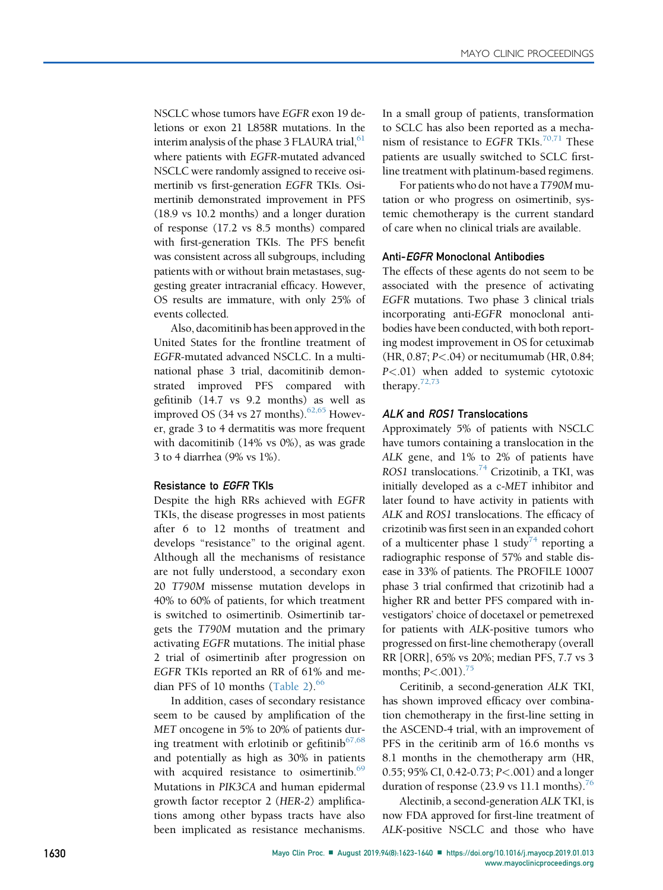NSCLC whose tumors have EGFR exon 19 deletions or exon 21 L858R mutations. In the interim analysis of the phase 3 FLAURA trial,  $61$ where patients with EGFR-mutated advanced NSCLC were randomly assigned to receive osimertinib vs first-generation EGFR TKIs. Osimertinib demonstrated improvement in PFS (18.9 vs 10.2 months) and a longer duration of response (17.2 vs 8.5 months) compared with first-generation TKIs. The PFS benefit was consistent across all subgroups, including patients with or without brain metastases, suggesting greater intracranial efficacy. However, OS results are immature, with only 25% of events collected.

Also, dacomitinib has been approved in the United States for the frontline treatment of EGFR-mutated advanced NSCLC. In a multinational phase 3 trial, dacomitinib demonstrated improved PFS compared with gefitinib (14.7 vs 9.2 months) as well as improved OS (34 vs 27 months). $62,65$  However, grade 3 to 4 dermatitis was more frequent with dacomitinib (14% vs 0%), as was grade 3 to 4 diarrhea (9% vs 1%).

#### Resistance to EGFR TKIs

Despite the high RRs achieved with EGFR TKIs, the disease progresses in most patients after 6 to 12 months of treatment and develops "resistance" to the original agent. Although all the mechanisms of resistance are not fully understood, a secondary exon 20 T790M missense mutation develops in 40% to 60% of patients, for which treatment is switched to osimertinib. Osimertinib targets the T790M mutation and the primary activating EGFR mutations. The initial phase 2 trial of osimertinib after progression on EGFR TKIs reported an RR of 61% and me-dian PFS of 10 months [\(Table 2](#page-6-0)). $66$ 

In addition, cases of secondary resistance seem to be caused by amplification of the MET oncogene in 5% to 20% of patients dur-ing treatment with erlotinib or gefitinib<sup>[67,68](#page-16-0)</sup> and potentially as high as 30% in patients with acquired resistance to osimertinib.<sup>[69](#page-16-0)</sup> Mutations in PIK3CA and human epidermal growth factor receptor 2 (HER-2) amplifications among other bypass tracts have also been implicated as resistance mechanisms.

In a small group of patients, transformation to SCLC has also been reported as a mecha-nism of resistance to EGFR TKIs.<sup>[70,71](#page-16-0)</sup> These patients are usually switched to SCLC firstline treatment with platinum-based regimens.

For patients who do not have a T790M mutation or who progress on osimertinib, systemic chemotherapy is the current standard of care when no clinical trials are available.

# Anti-EGFR Monoclonal Antibodies

The effects of these agents do not seem to be associated with the presence of activating EGFR mutations. Two phase 3 clinical trials incorporating anti-EGFR monoclonal antibodies have been conducted, with both reporting modest improvement in OS for cetuximab (HR, 0.87; P<.04) or necitumumab (HR, 0.84; P<.01) when added to systemic cytotoxic therapy. $72,73$ 

# ALK and ROS1 Translocations

Approximately 5% of patients with NSCLC have tumors containing a translocation in the ALK gene, and 1% to 2% of patients have ROS1 translocations.<sup>74</sup> Crizotinib, a TKI, was initially developed as a c-MET inhibitor and later found to have activity in patients with ALK and ROS1 translocations. The efficacy of crizotinib was first seen in an expanded cohort of a multicenter phase 1 study<sup>[74](#page-16-0)</sup> reporting a radiographic response of 57% and stable disease in 33% of patients. The PROFILE 10007 phase 3 trial confirmed that crizotinib had a higher RR and better PFS compared with investigators' choice of docetaxel or pemetrexed for patients with ALK-positive tumors who progressed on first-line chemotherapy (overall RR [ORR], 65% vs 20%; median PFS, 7.7 vs 3 months;  $P < .001$ ).<sup>[75](#page-16-0)</sup>

Ceritinib, a second-generation ALK TKI, has shown improved efficacy over combination chemotherapy in the first-line setting in the ASCEND-4 trial, with an improvement of PFS in the ceritinib arm of 16.6 months vs 8.1 months in the chemotherapy arm (HR, 0.55; 95% CI, 0.42-0.73; P<.001) and a longer duration of response  $(23.9 \text{ vs } 11.1 \text{ months})$ .<sup>[76](#page-16-0)</sup>

Alectinib, a second-generation ALK TKI, is now FDA approved for first-line treatment of ALK-positive NSCLC and those who have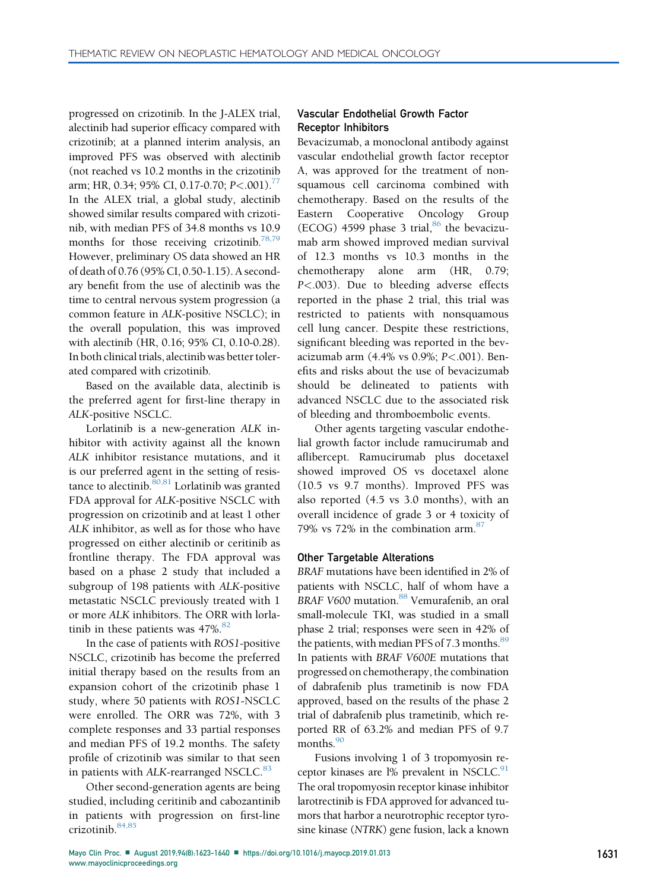progressed on crizotinib. In the J-ALEX trial, alectinib had superior efficacy compared with crizotinib; at a planned interim analysis, an improved PFS was observed with alectinib (not reached vs 10.2 months in the crizotinib arm; HR, 0.34; 95% CI, 0.17-0.70; P<.001).<sup>77</sup> In the ALEX trial, a global study, alectinib showed similar results compared with crizotinib, with median PFS of 34.8 months vs 10.9 months for those receiving crizotinib.<sup>[78,79](#page-16-0)</sup> However, preliminary OS data showed an HR of death of 0.76 (95% CI, 0.50-1.15). A secondary benefit from the use of alectinib was the time to central nervous system progression (a common feature in ALK-positive NSCLC); in the overall population, this was improved with alectinib (HR, 0.16; 95% CI, 0.10-0.28). In both clinical trials, alectinib was better tolerated compared with crizotinib.

Based on the available data, alectinib is the preferred agent for first-line therapy in ALK-positive NSCLC.

Lorlatinib is a new-generation ALK inhibitor with activity against all the known ALK inhibitor resistance mutations, and it is our preferred agent in the setting of resis-tance to alectinib.<sup>[80,81](#page-16-0)</sup> Lorlatinib was granted FDA approval for ALK-positive NSCLC with progression on crizotinib and at least 1 other ALK inhibitor, as well as for those who have progressed on either alectinib or ceritinib as frontline therapy. The FDA approval was based on a phase 2 study that included a subgroup of 198 patients with ALK-positive metastatic NSCLC previously treated with 1 or more ALK inhibitors. The ORR with lorlatinib in these patients was  $47\%$ .<sup>[82](#page-16-0)</sup>

In the case of patients with ROS1-positive NSCLC, crizotinib has become the preferred initial therapy based on the results from an expansion cohort of the crizotinib phase 1 study, where 50 patients with ROS1-NSCLC were enrolled. The ORR was 72%, with 3 complete responses and 33 partial responses and median PFS of 19.2 months. The safety profile of crizotinib was similar to that seen in patients with ALK-rearranged NSCLC.<sup>[83](#page-16-0)</sup>

Other second-generation agents are being studied, including ceritinib and cabozantinib in patients with progression on first-line crizotinib.[84,85](#page-16-0)

# Vascular Endothelial Growth Factor Receptor Inhibitors

Bevacizumab, a monoclonal antibody against vascular endothelial growth factor receptor A, was approved for the treatment of nonsquamous cell carcinoma combined with chemotherapy. Based on the results of the Eastern Cooperative Oncology Group (ECOG) 4599 phase 3 trial, $86$  the bevacizumab arm showed improved median survival of 12.3 months vs 10.3 months in the chemotherapy alone arm (HR, 0.79; P<.003). Due to bleeding adverse effects reported in the phase 2 trial, this trial was restricted to patients with nonsquamous cell lung cancer. Despite these restrictions, significant bleeding was reported in the bevacizumab arm (4.4% vs 0.9%; P<.001). Benefits and risks about the use of bevacizumab should be delineated to patients with advanced NSCLC due to the associated risk of bleeding and thromboembolic events.

Other agents targeting vascular endothelial growth factor include ramucirumab and aflibercept. Ramucirumab plus docetaxel showed improved OS vs docetaxel alone (10.5 vs 9.7 months). Improved PFS was also reported (4.5 vs 3.0 months), with an overall incidence of grade 3 or 4 toxicity of 79% vs  $72\%$  in the combination arm.<sup>[87](#page-16-0)</sup>

### Other Targetable Alterations

BRAF mutations have been identified in 2% of patients with NSCLC, half of whom have a BRAF V600 mutation.<sup>[88](#page-16-0)</sup> Vemurafenib, an oral small-molecule TKI, was studied in a small phase 2 trial; responses were seen in 42% of the patients, with median PFS of 7.3 months.<sup>[89](#page-16-0)</sup> In patients with BRAF V600E mutations that progressed on chemotherapy, the combination of dabrafenib plus trametinib is now FDA approved, based on the results of the phase 2 trial of dabrafenib plus trametinib, which reported RR of 63.2% and median PFS of 9.7 months.<sup>[90](#page-16-0)</sup>

Fusions involving 1 of 3 tropomyosin receptor kinases are  $\frac{1}{6}$  prevalent in NSCLC.<sup>91</sup> The oral tropomyosin receptor kinase inhibitor larotrectinib is FDA approved for advanced tumors that harbor a neurotrophic receptor tyrosine kinase (NTRK) gene fusion, lack a known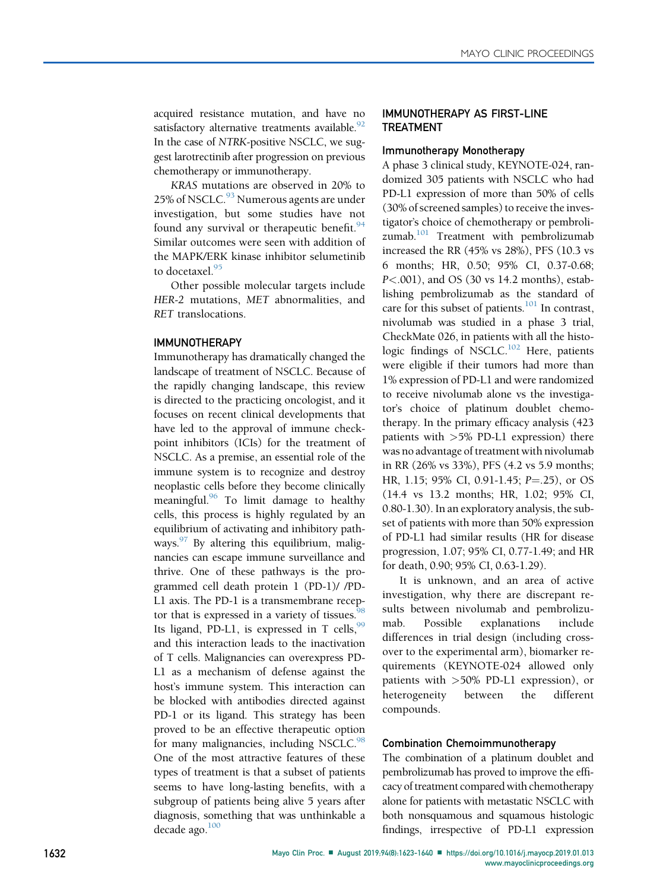acquired resistance mutation, and have no satisfactory alternative treatments available. $^{92}$ In the case of NTRK-positive NSCLC, we suggest larotrectinib after progression on previous chemotherapy or immunotherapy.

KRAS mutations are observed in 20% to 25% of NSCLC.<sup>[93](#page-16-0)</sup> Numerous agents are under investigation, but some studies have not found any survival or therapeutic benefit.<sup>[94](#page-16-0)</sup> Similar outcomes were seen with addition of the MAPK/ERK kinase inhibitor selumetinib to docetaxel.<sup>[95](#page-16-0)</sup>

Other possible molecular targets include HER-2 mutations, MET abnormalities, and RET translocations.

# IMMUNOTHERAPY

Immunotherapy has dramatically changed the landscape of treatment of NSCLC. Because of the rapidly changing landscape, this review is directed to the practicing oncologist, and it focuses on recent clinical developments that have led to the approval of immune checkpoint inhibitors (ICIs) for the treatment of NSCLC. As a premise, an essential role of the immune system is to recognize and destroy neoplastic cells before they become clinically meaningful. $96$  To limit damage to healthy cells, this process is highly regulated by an equilibrium of activating and inhibitory path-ways.<sup>[97](#page-16-0)</sup> By altering this equilibrium, malignancies can escape immune surveillance and thrive. One of these pathways is the programmed cell death protein 1 (PD-1)/ /PD-L1 axis. The PD-1 is a transmembrane receptor that is expressed in a variety of tissues. $9$ Its ligand, PD-L1, is expressed in T cells. $99$ and this interaction leads to the inactivation of T cells. Malignancies can overexpress PD-L1 as a mechanism of defense against the host's immune system. This interaction can be blocked with antibodies directed against PD-1 or its ligand. This strategy has been proved to be an effective therapeutic option for many malignancies, including NSCLC.<sup>98</sup> One of the most attractive features of these types of treatment is that a subset of patients seems to have long-lasting benefits, with a subgroup of patients being alive 5 years after diagnosis, something that was unthinkable a decade ago. $100$ 

# IMMUNOTHERAPY AS FIRST-LINE TREATMENT

## Immunotherapy Monotherapy

A phase 3 clinical study, KEYNOTE-024, randomized 305 patients with NSCLC who had PD-L1 expression of more than 50% of cells (30% of screened samples) to receive the investigator's choice of chemotherapy or pembroli-zumab.<sup>[101](#page-16-0)</sup> Treatment with pembrolizumab increased the RR (45% vs 28%), PFS (10.3 vs 6 months; HR, 0.50; 95% CI, 0.37-0.68; P<.001), and OS (30 vs 14.2 months), establishing pembrolizumab as the standard of care for this subset of patients.<sup>101</sup> In contrast, nivolumab was studied in a phase 3 trial, CheckMate 026, in patients with all the histologic findings of NSCLC.<sup>102</sup> Here, patients were eligible if their tumors had more than 1% expression of PD-L1 and were randomized to receive nivolumab alone vs the investigator's choice of platinum doublet chemotherapy. In the primary efficacy analysis (423 patients with >5% PD-L1 expression) there was no advantage of treatment with nivolumab in RR (26% vs 33%), PFS (4.2 vs 5.9 months; HR, 1.15; 95% CI, 0.91-1.45;  $P = .25$ ), or OS (14.4 vs 13.2 months; HR, 1.02; 95% CI, 0.80-1.30). In an exploratory analysis, the subset of patients with more than 50% expression of PD-L1 had similar results (HR for disease progression, 1.07; 95% CI, 0.77-1.49; and HR for death, 0.90; 95% CI, 0.63-1.29).

It is unknown, and an area of active investigation, why there are discrepant results between nivolumab and pembrolizumab. Possible explanations include differences in trial design (including crossover to the experimental arm), biomarker requirements (KEYNOTE-024 allowed only patients with >50% PD-L1 expression), or heterogeneity between the different compounds.

#### Combination Chemoimmunotherapy

The combination of a platinum doublet and pembrolizumab has proved to improve the efficacy of treatment compared with chemotherapy alone for patients with metastatic NSCLC with both nonsquamous and squamous histologic findings, irrespective of PD-L1 expression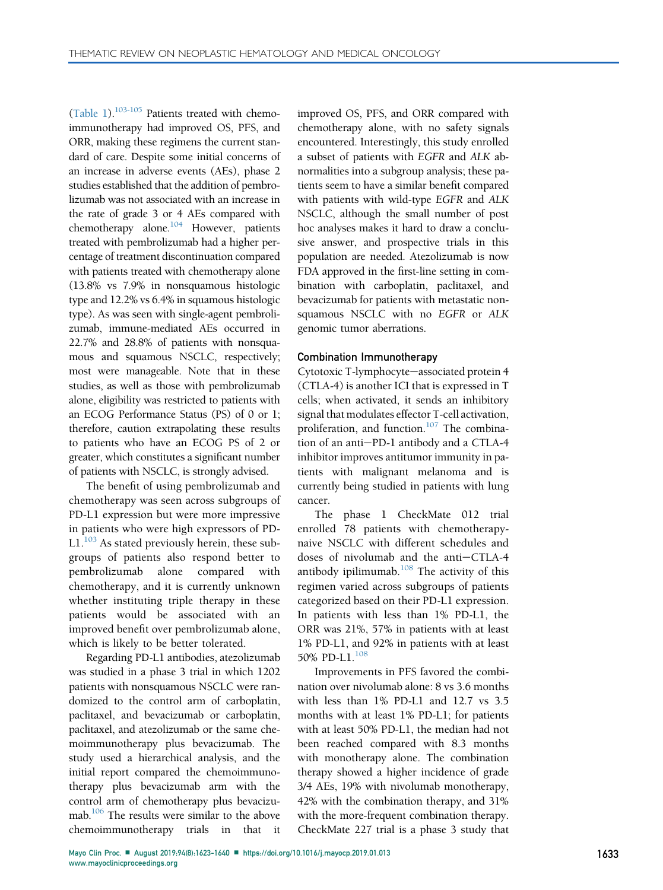[\(Table 1\)](#page-5-0). $103-105$  Patients treated with chemoimmunotherapy had improved OS, PFS, and ORR, making these regimens the current standard of care. Despite some initial concerns of an increase in adverse events (AEs), phase 2 studies established that the addition of pembrolizumab was not associated with an increase in the rate of grade 3 or 4 AEs compared with chemotherapy alone. $104$  However, patients treated with pembrolizumab had a higher percentage of treatment discontinuation compared with patients treated with chemotherapy alone (13.8% vs 7.9% in nonsquamous histologic type and 12.2% vs 6.4% in squamous histologic type). As was seen with single-agent pembrolizumab, immune-mediated AEs occurred in 22.7% and 28.8% of patients with nonsquamous and squamous NSCLC, respectively; most were manageable. Note that in these studies, as well as those with pembrolizumab alone, eligibility was restricted to patients with an ECOG Performance Status (PS) of 0 or 1; therefore, caution extrapolating these results to patients who have an ECOG PS of 2 or greater, which constitutes a significant number of patients with NSCLC, is strongly advised.

The benefit of using pembrolizumab and chemotherapy was seen across subgroups of PD-L1 expression but were more impressive in patients who were high expressors of PD- $L1.^{103}$  $L1.^{103}$  $L1.^{103}$  As stated previously herein, these subgroups of patients also respond better to pembrolizumab alone compared with chemotherapy, and it is currently unknown whether instituting triple therapy in these patients would be associated with an improved benefit over pembrolizumab alone, which is likely to be better tolerated.

Regarding PD-L1 antibodies, atezolizumab was studied in a phase 3 trial in which 1202 patients with nonsquamous NSCLC were randomized to the control arm of carboplatin, paclitaxel, and bevacizumab or carboplatin, paclitaxel, and atezolizumab or the same chemoimmunotherapy plus bevacizumab. The study used a hierarchical analysis, and the initial report compared the chemoimmunotherapy plus bevacizumab arm with the control arm of chemotherapy plus bevacizumab.<sup>106</sup> The results were similar to the above chemoimmunotherapy trials in that it

improved OS, PFS, and ORR compared with chemotherapy alone, with no safety signals encountered. Interestingly, this study enrolled a subset of patients with EGFR and ALK abnormalities into a subgroup analysis; these patients seem to have a similar benefit compared with patients with wild-type EGFR and ALK NSCLC, although the small number of post hoc analyses makes it hard to draw a conclusive answer, and prospective trials in this population are needed. Atezolizumab is now FDA approved in the first-line setting in combination with carboplatin, paclitaxel, and bevacizumab for patients with metastatic nonsquamous NSCLC with no EGFR or ALK genomic tumor aberrations.

## Combination Immunotherapy

Cytotoxic T-lymphocyte-associated protein 4 (CTLA-4) is another ICI that is expressed in T cells; when activated, it sends an inhibitory signal that modulates effector T-cell activation, proliferation, and function.<sup>107</sup> The combination of an anti-PD-1 antibody and a CTLA-4 inhibitor improves antitumor immunity in patients with malignant melanoma and is currently being studied in patients with lung cancer.

The phase 1 CheckMate 012 trial enrolled 78 patients with chemotherapynaive NSCLC with different schedules and doses of nivolumab and the anti-CTLA-4 antibody ipilimumab. $108$  The activity of this regimen varied across subgroups of patients categorized based on their PD-L1 expression. In patients with less than 1% PD-L1, the ORR was 21%, 57% in patients with at least 1% PD-L1, and 92% in patients with at least 50% PD-L1.<sup>[108](#page-17-0)</sup>

Improvements in PFS favored the combination over nivolumab alone: 8 vs 3.6 months with less than 1% PD-L1 and 12.7 vs 3.5 months with at least 1% PD-L1; for patients with at least 50% PD-L1, the median had not been reached compared with 8.3 months with monotherapy alone. The combination therapy showed a higher incidence of grade 3/4 AEs, 19% with nivolumab monotherapy, 42% with the combination therapy, and 31% with the more-frequent combination therapy. CheckMate 227 trial is a phase 3 study that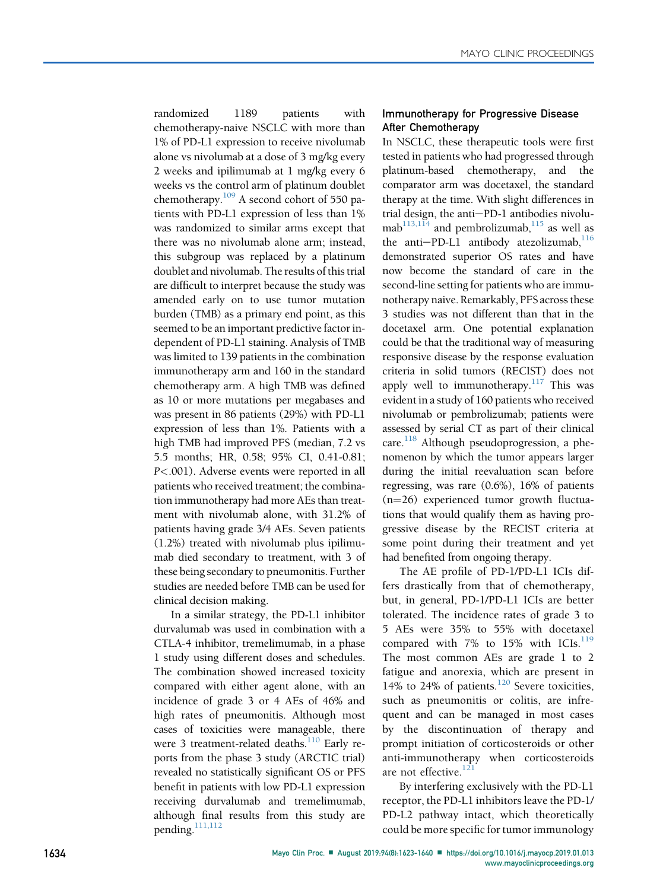randomized 1189 patients with chemotherapy-naive NSCLC with more than 1% of PD-L1 expression to receive nivolumab alone vs nivolumab at a dose of 3 mg/kg every 2 weeks and ipilimumab at 1 mg/kg every 6 weeks vs the control arm of platinum doublet chemotherapy.<sup>[109](#page-17-0)</sup> A second cohort of 550 patients with PD-L1 expression of less than 1% was randomized to similar arms except that there was no nivolumab alone arm; instead, this subgroup was replaced by a platinum doublet and nivolumab. The results of this trial are difficult to interpret because the study was amended early on to use tumor mutation burden (TMB) as a primary end point, as this seemed to be an important predictive factor independent of PD-L1 staining. Analysis of TMB was limited to 139 patients in the combination immunotherapy arm and 160 in the standard chemotherapy arm. A high TMB was defined as 10 or more mutations per megabases and was present in 86 patients (29%) with PD-L1 expression of less than 1%. Patients with a high TMB had improved PFS (median, 7.2 vs 5.5 months; HR, 0.58; 95% CI, 0.41-0.81; P<.001). Adverse events were reported in all patients who received treatment; the combination immunotherapy had more AEs than treatment with nivolumab alone, with 31.2% of patients having grade 3/4 AEs. Seven patients (1.2%) treated with nivolumab plus ipilimumab died secondary to treatment, with 3 of these being secondary to pneumonitis. Further studies are needed before TMB can be used for clinical decision making.

In a similar strategy, the PD-L1 inhibitor durvalumab was used in combination with a CTLA-4 inhibitor, tremelimumab, in a phase 1 study using different doses and schedules. The combination showed increased toxicity compared with either agent alone, with an incidence of grade 3 or 4 AEs of 46% and high rates of pneumonitis. Although most cases of toxicities were manageable, there were 3 treatment-related deaths.<sup>[110](#page-17-0)</sup> Early reports from the phase 3 study (ARCTIC trial) revealed no statistically significant OS or PFS benefit in patients with low PD-L1 expression receiving durvalumab and tremelimumab, although final results from this study are pending.<sup>111,112</sup>

# Immunotherapy for Progressive Disease After Chemotherapy

In NSCLC, these therapeutic tools were first tested in patients who had progressed through platinum-based chemotherapy, and the comparator arm was docetaxel, the standard therapy at the time. With slight differences in trial design, the anti-PD-1 antibodies nivolu-mab<sup>[113,114](#page-17-0)</sup> and pembrolizumab,<sup>115</sup> as well as the anti-PD-L1 antibody atezolizumab,  $116$ demonstrated superior OS rates and have now become the standard of care in the second-line setting for patients who are immunotherapy naive. Remarkably, PFS across these 3 studies was not different than that in the docetaxel arm. One potential explanation could be that the traditional way of measuring responsive disease by the response evaluation criteria in solid tumors (RECIST) does not apply well to immunotherapy. $117$  This was evident in a study of 160 patients who received nivolumab or pembrolizumab; patients were assessed by serial CT as part of their clinical care.<sup>118</sup> Although pseudoprogression, a phenomenon by which the tumor appears larger during the initial reevaluation scan before regressing, was rare (0.6%), 16% of patients  $(n=26)$  experienced tumor growth fluctuations that would qualify them as having progressive disease by the RECIST criteria at some point during their treatment and yet had benefited from ongoing therapy.

The AE profile of PD-1/PD-L1 ICIs differs drastically from that of chemotherapy, but, in general, PD-1/PD-L1 ICIs are better tolerated. The incidence rates of grade 3 to 5 AEs were 35% to 55% with docetaxel compared with 7% to 15% with  $ICIs.<sup>119</sup>$  $ICIs.<sup>119</sup>$  $ICIs.<sup>119</sup>$ The most common AEs are grade 1 to 2 fatigue and anorexia, which are present in 14% to 24% of patients. $120$  Severe toxicities, such as pneumonitis or colitis, are infrequent and can be managed in most cases by the discontinuation of therapy and prompt initiation of corticosteroids or other anti-immunotherapy when corticosteroids are not effective.<sup>[121](#page-17-0)</sup>

By interfering exclusively with the PD-L1 receptor, the PD-L1 inhibitors leave the PD-1/ PD-L2 pathway intact, which theoretically could be more specific for tumor immunology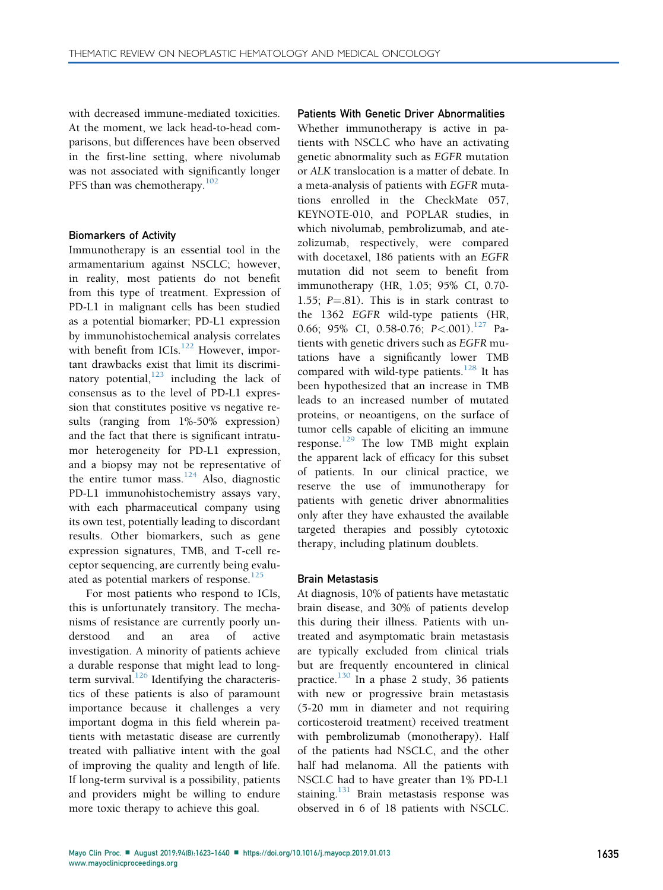with decreased immune-mediated toxicities. At the moment, we lack head-to-head comparisons, but differences have been observed in the first-line setting, where nivolumab was not associated with significantly longer PFS than was chemotherapy.<sup>[102](#page-16-0)</sup>

## Biomarkers of Activity

Immunotherapy is an essential tool in the armamentarium against NSCLC; however, in reality, most patients do not benefit from this type of treatment. Expression of PD-L1 in malignant cells has been studied as a potential biomarker; PD-L1 expression by immunohistochemical analysis correlates with benefit from ICIs. $^{122}$  $^{122}$  $^{122}$  However, important drawbacks exist that limit its discriminatory potential, $123$  including the lack of consensus as to the level of PD-L1 expression that constitutes positive vs negative results (ranging from 1%-50% expression) and the fact that there is significant intratumor heterogeneity for PD-L1 expression, and a biopsy may not be representative of the entire tumor mass. $124$  Also, diagnostic PD-L1 immunohistochemistry assays vary, with each pharmaceutical company using its own test, potentially leading to discordant results. Other biomarkers, such as gene expression signatures, TMB, and T-cell receptor sequencing, are currently being evalu-ated as potential markers of response.<sup>[125](#page-17-0)</sup>

For most patients who respond to ICIs, this is unfortunately transitory. The mechanisms of resistance are currently poorly understood and an area of active investigation. A minority of patients achieve a durable response that might lead to longterm survival. $126$  Identifying the characteristics of these patients is also of paramount importance because it challenges a very important dogma in this field wherein patients with metastatic disease are currently treated with palliative intent with the goal of improving the quality and length of life. If long-term survival is a possibility, patients and providers might be willing to endure more toxic therapy to achieve this goal.

## Patients With Genetic Driver Abnormalities

Whether immunotherapy is active in patients with NSCLC who have an activating genetic abnormality such as EGFR mutation or ALK translocation is a matter of debate. In a meta-analysis of patients with EGFR mutations enrolled in the CheckMate 057, KEYNOTE-010, and POPLAR studies, in which nivolumab, pembrolizumab, and atezolizumab, respectively, were compared with docetaxel, 186 patients with an EGFR mutation did not seem to benefit from immunotherapy (HR, 1.05; 95% CI, 0.70- 1.55;  $P = .81$ ). This is in stark contrast to the 1362 EGFR wild-type patients (HR, 0.66; 95% CI, 0.58-0.76; P<.001).<sup>[127](#page-17-0)</sup> Patients with genetic drivers such as EGFR mutations have a significantly lower TMB compared with wild-type patients.<sup>[128](#page-17-0)</sup> It has been hypothesized that an increase in TMB leads to an increased number of mutated proteins, or neoantigens, on the surface of tumor cells capable of eliciting an immune response.<sup>[129](#page-17-0)</sup> The low TMB might explain the apparent lack of efficacy for this subset of patients. In our clinical practice, we reserve the use of immunotherapy for patients with genetic driver abnormalities only after they have exhausted the available targeted therapies and possibly cytotoxic therapy, including platinum doublets.

# Brain Metastasis

At diagnosis, 10% of patients have metastatic brain disease, and 30% of patients develop this during their illness. Patients with untreated and asymptomatic brain metastasis are typically excluded from clinical trials but are frequently encountered in clinical practice.<sup>[130](#page-17-0)</sup> In a phase 2 study, 36 patients with new or progressive brain metastasis (5-20 mm in diameter and not requiring corticosteroid treatment) received treatment with pembrolizumab (monotherapy). Half of the patients had NSCLC, and the other half had melanoma. All the patients with NSCLC had to have greater than 1% PD-L1 staining.<sup>[131](#page-17-0)</sup> Brain metastasis response was observed in 6 of 18 patients with NSCLC.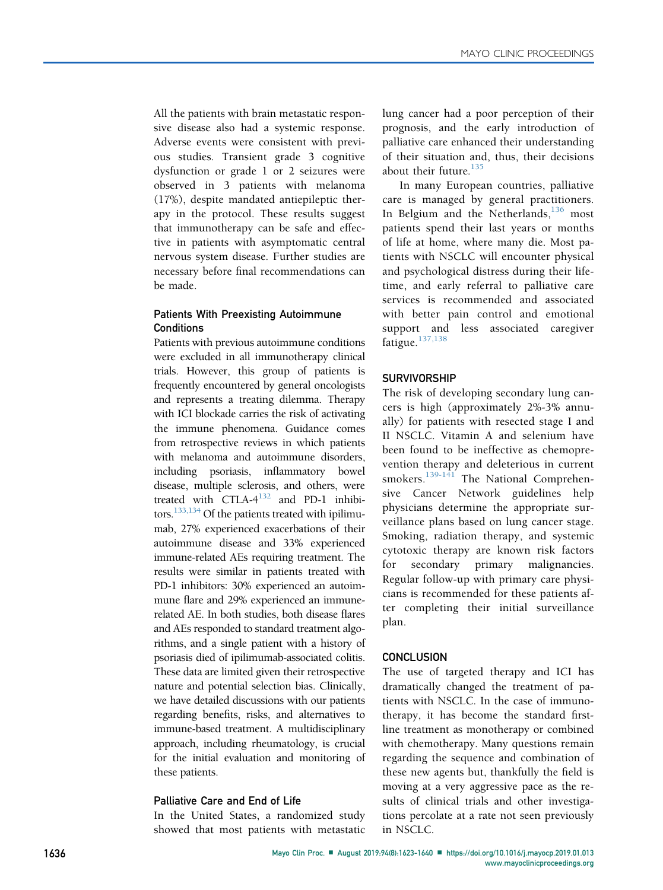All the patients with brain metastatic responsive disease also had a systemic response. Adverse events were consistent with previous studies. Transient grade 3 cognitive dysfunction or grade 1 or 2 seizures were observed in 3 patients with melanoma (17%), despite mandated antiepileptic therapy in the protocol. These results suggest that immunotherapy can be safe and effective in patients with asymptomatic central nervous system disease. Further studies are necessary before final recommendations can be made.

# Patients With Preexisting Autoimmune **Conditions**

Patients with previous autoimmune conditions were excluded in all immunotherapy clinical trials. However, this group of patients is frequently encountered by general oncologists and represents a treating dilemma. Therapy with ICI blockade carries the risk of activating the immune phenomena. Guidance comes from retrospective reviews in which patients with melanoma and autoimmune disorders, including psoriasis, inflammatory bowel disease, multiple sclerosis, and others, were treated with CTLA- $4^{132}$  and PD-1 inhibitors.<sup>133,134</sup> Of the patients treated with ipilimumab, 27% experienced exacerbations of their autoimmune disease and 33% experienced immune-related AEs requiring treatment. The results were similar in patients treated with PD-1 inhibitors: 30% experienced an autoimmune flare and 29% experienced an immunerelated AE. In both studies, both disease flares and AEs responded to standard treatment algorithms, and a single patient with a history of psoriasis died of ipilimumab-associated colitis. These data are limited given their retrospective nature and potential selection bias. Clinically, we have detailed discussions with our patients regarding benefits, risks, and alternatives to immune-based treatment. A multidisciplinary approach, including rheumatology, is crucial for the initial evaluation and monitoring of these patients.

#### Palliative Care and End of Life

In the United States, a randomized study showed that most patients with metastatic lung cancer had a poor perception of their prognosis, and the early introduction of palliative care enhanced their understanding of their situation and, thus, their decisions about their future.<sup>[135](#page-17-0)</sup>

In many European countries, palliative care is managed by general practitioners. In Belgium and the Netherlands, $136$  most patients spend their last years or months of life at home, where many die. Most patients with NSCLC will encounter physical and psychological distress during their lifetime, and early referral to palliative care services is recommended and associated with better pain control and emotional support and less associated caregiver fatigue. $137,138$ 

# **SURVIVORSHIP**

The risk of developing secondary lung cancers is high (approximately 2%-3% annually) for patients with resected stage I and II NSCLC. Vitamin A and selenium have been found to be ineffective as chemoprevention therapy and deleterious in current smokers.<sup>[139-141](#page-17-0)</sup> The National Comprehensive Cancer Network guidelines help physicians determine the appropriate surveillance plans based on lung cancer stage. Smoking, radiation therapy, and systemic cytotoxic therapy are known risk factors for secondary primary malignancies. Regular follow-up with primary care physicians is recommended for these patients after completing their initial surveillance plan.

## **CONCLUSION**

The use of targeted therapy and ICI has dramatically changed the treatment of patients with NSCLC. In the case of immunotherapy, it has become the standard firstline treatment as monotherapy or combined with chemotherapy. Many questions remain regarding the sequence and combination of these new agents but, thankfully the field is moving at a very aggressive pace as the results of clinical trials and other investigations percolate at a rate not seen previously in NSCLC.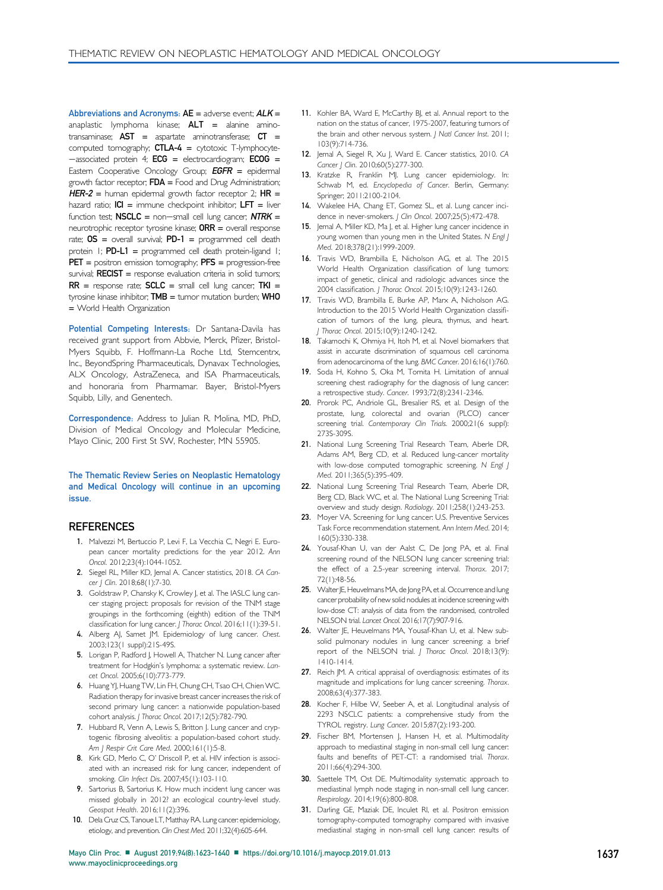<span id="page-14-0"></span>Abbreviations and Acronyms:  $AE =$  adverse event:  $ALK =$ anaplastic lymphoma kinase;  $ALT =$  alanine aminotransaminase;  $AST =$  aspartate aminotransferase;  $CT =$ computed tomography;  $CTLA-4 =$  cytotoxic T-lymphocyte- $-$ associated protein 4; ECG = electrocardiogram; ECOG = Eastern Cooperative Oncology Group;  $EGFR =$  epidermal growth factor receptor;  $FDA =$  Food and Drug Administration;  $HER-2$  = human epidermal growth factor receptor 2;  $HR =$ hazard ratio;  $|C| =$  immune checkpoint inhibitor;  $LFT =$  liver function test;  $NSCLC =$  non-small cell lung cancer;  $NTRK =$ neurotrophic receptor tyrosine kinase; ORR = overall response rate;  $OS =$  overall survival;  $PD-1 =$  programmed cell death protein 1; PD-L1 = programmed cell death protein-ligand 1; PET = positron emission tomography; PFS = progression-free survival; RECIST = response evaluation criteria in solid tumors;  $RR$  = response rate;  $SCLC$  = small cell lung cancer;  $TKI$  = tyrosine kinase inhibitor;  $TMB =$  tumor mutation burden;  $WHO$ = World Health Organization

Potential Competing Interests: Dr Santana-Davila has received grant support from Abbvie, Merck, Pfizer, Bristol-Myers Squibb, F. Hoffmann-La Roche Ltd, Stemcentrx, Inc., BeyondSpring Pharmaceuticals, Dynavax Technologies, ALX Oncology, AstraZeneca, and ISA Pharmaceuticals, and honoraria from Pharmamar. Bayer, Bristol-Myers Squibb, Lilly, and Genentech.

Correspondence: Address to Julian R. Molina, MD, PhD, Division of Medical Oncology and Molecular Medicine, Mayo Clinic, 200 First St SW, Rochester, MN 55905.

The Thematic Review Series on Neoplastic Hematology and Medical Oncology will continue in an upcoming issue.

## **REFERENCES**

- 1. Malvezzi M, Bertuccio P, Levi F, La Vecchia C, Negri E. European cancer mortality predictions for the year 2012. Ann Oncol. 2012;23(4):1044-1052.
- 2. Siegel RL, Miller KD, Jemal A. Cancer statistics, 2018. CA Cancer J Clin. 2018;68(1):7-30.
- 3. Goldstraw P, Chansky K, Crowley J, et al. The IASLC lung cancer staging project: proposals for revision of the TNM stage groupings in the forthcoming (eighth) edition of the TNM classification for lung cancer. J Thorac Oncol. 2016;11(1):39-51.
- 4. Alberg AJ, Samet JM. Epidemiology of lung cancer. Chest. 2003;123(1 suppl):21S-49S.
- 5. Lorigan P, Radford J, Howell A, Thatcher N. Lung cancer after treatment for Hodgkin's lymphoma: a systematic review. Lancet Oncol. 2005;6(10):773-779.
- 6. Huang YJ, Huang TW, Lin FH, Chung CH, Tsao CH, Chien WC. Radiation therapy for invasive breast cancer increases the risk of second primary lung cancer: a nationwide population-based cohort analysis. J Thorac Oncol. 2017;12(5):782-790.
- 7. Hubbard R, Venn A, Lewis S, Britton J. Lung cancer and cryptogenic fibrosing alveolitis: a population-based cohort study. Am J Respir Crit Care Med. 2000;161(1):5-8.
- 8. Kirk GD, Merlo C, O' Driscoll P, et al. HIV infection is associated with an increased risk for lung cancer, independent of smoking. Clin Infect Dis. 2007;45(1):103-110.
- 9. Sartorius B, Sartorius K. How much incident lung cancer was missed globally in 2012? an ecological country-level study. Geospat Health. 2016;11(2):396.
- 10. Dela Cruz CS, Tanoue LT, Matthay RA. Lung cancer: epidemiology, etiology, and prevention. Clin Chest Med. 2011;32(4):605-644.
- 11. Kohler BA, Ward E, McCarthy BJ, et al. Annual report to the nation on the status of cancer, 1975-2007, featuring tumors of the brain and other nervous system. | Natl Cancer Inst. 2011; 103(9):714-736.
- 12. Jemal A, Siegel R, Xu J, Ward E. Cancer statistics, 2010. CA Cancer J Clin. 2010;60(5):277-300.
- 13. Kratzke R, Franklin MJ. Lung cancer epidemiology. In: Schwab M, ed. Encyclopedia of Cancer. Berlin, Germany: Springer; 2011:2100-2104.
- 14. Wakelee HA, Chang ET, Gomez SL, et al. Lung cancer incidence in never-smokers. J Clin Oncol. 2007;25(5):472-478.
- 15. Jemal A, Miller KD, Ma J, et al. Higher lung cancer incidence in young women than young men in the United States. N Engl J Med. 2018;378(21):1999-2009.
- 16. Travis WD, Brambilla E, Nicholson AG, et al. The 2015 World Health Organization classification of lung tumors: impact of genetic, clinical and radiologic advances since the 2004 classification. J Thorac Oncol. 2015;10(9):1243-1260.
- 17. Travis WD, Brambilla E, Burke AP, Marx A, Nicholson AG. Introduction to the 2015 World Health Organization classification of tumors of the lung, pleura, thymus, and heart. J Thorac Oncol. 2015;10(9):1240-1242.
- 18. Takamochi K, Ohmiya H, Itoh M, et al. Novel biomarkers that assist in accurate discrimination of squamous cell carcinoma from adenocarcinoma of the lung. BMC Cancer. 2016;16(1):760.
- 19. Soda H, Kohno S, Oka M, Tomita H. Limitation of annual screening chest radiography for the diagnosis of lung cancer: a retrospective study. Cancer. 1993;72(8):2341-2346.
- 20. Prorok PC, Andriole GL, Bresalier RS, et al. Design of the prostate, lung, colorectal and ovarian (PLCO) cancer screening trial. Contemporary Clin Trials. 2000;21(6 suppl): 273S-309S.
- 21. National Lung Screening Trial Research Team, Aberle DR, Adams AM, Berg CD, et al. Reduced lung-cancer mortality with low-dose computed tomographic screening. N Engl J Med. 2011;365(5):395-409.
- 22. National Lung Screening Trial Research Team, Aberle DR, Berg CD, Black WC, et al. The National Lung Screening Trial: overview and study design. Radiology. 2011;258(1):243-253.
- 23. Moyer VA. Screening for lung cancer: U.S. Preventive Services Task Force recommendation statement. Ann Intern Med. 2014; 160(5):330-338.
- 24. Yousaf-Khan U, van der Aalst C, De Jong PA, et al. Final screening round of the NELSON lung cancer screening trial: the effect of a 2.5-year screening interval. Thorax. 2017; 72(1):48-56.
- 25. Walter JE, Heuvelmans MA, de Jong PA, et al. Occurrence and lung cancer probability of new solid nodules at incidence screening with low-dose CT: analysis of data from the randomised, controlled NELSON trial. Lancet Oncol. 2016;17(7):907-916.
- 26. Walter JE, Heuvelmans MA, Yousaf-Khan U, et al. New subsolid pulmonary nodules in lung cancer screening: a brief report of the NELSON trial. J Thorac Oncol. 2018;13(9): 1410-1414.
- 27. Reich JM. A critical appraisal of overdiagnosis: estimates of its magnitude and implications for lung cancer screening. Thorax. 2008;63(4):377-383.
- 28. Kocher F, Hilbe W, Seeber A, et al. Longitudinal analysis of 2293 NSCLC patients: a comprehensive study from the TYROL registry. Lung Cancer. 2015;87(2):193-200.
- 29. Fischer BM, Mortensen J, Hansen H, et al. Multimodality approach to mediastinal staging in non-small cell lung cancer: faults and benefits of PET-CT: a randomised trial. Thorax. 2011;66(4):294-300.
- 30. Saettele TM, Ost DE. Multimodality systematic approach to mediastinal lymph node staging in non-small cell lung cancer. Respirology. 2014;19(6):800-808.
- 31. Darling GE, Maziak DE, Inculet RI, et al. Positron emission tomography-computed tomography compared with invasive mediastinal staging in non-small cell lung cancer: results of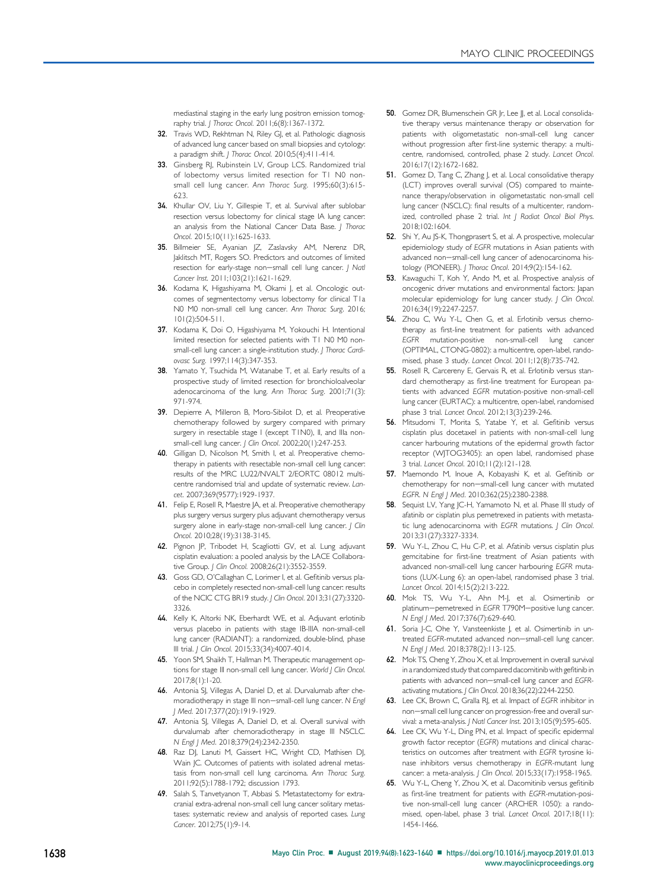mediastinal staging in the early lung positron emission tomography trial. J Thorac Oncol. 2011;6(8):1367-1372.

- <span id="page-15-0"></span>32. Travis WD, Rekhtman N, Riley GJ, et al. Pathologic diagnosis of advanced lung cancer based on small biopsies and cytology: a paradigm shift. J Thorac Oncol. 2010;5(4):411-414.
- 33. Ginsberg RJ, Rubinstein LV, Group LCS. Randomized trial of lobectomy versus limited resection for T1 N0 nonsmall cell lung cancer. Ann Thorac Surg. 1995;60(3):615- 623.
- 34. Khullar OV, Liu Y, Gillespie T, et al. Survival after sublobar resection versus lobectomy for clinical stage IA lung cancer: an analysis from the National Cancer Data Base. *I Thorac* Oncol. 2015;10(11):1625-1633.
- 35. Billmeier SE, Ayanian JZ, Zaslavsky AM, Nerenz DR, Jaklitsch MT, Rogers SO. Predictors and outcomes of limited resection for early-stage non-small cell lung cancer. J Natl Cancer Inst. 2011;103(21):1621-1629.
- 36. Kodama K, Higashiyama M, Okami J, et al. Oncologic outcomes of segmentectomy versus lobectomy for clinical T1a N0 M0 non-small cell lung cancer. Ann Thorac Surg. 2016; 101(2):504-511.
- 37. Kodama K, Doi O, Higashiyama M, Yokouchi H. Intentional limited resection for selected patients with T1 N0 M0 nonsmall-cell lung cancer: a single-institution study. J Thorac Cardiovasc Surg. 1997;114(3):347-353.
- 38. Yamato Y, Tsuchida M, Watanabe T, et al. Early results of a prospective study of limited resection for bronchioloalveolar adenocarcinoma of the lung. Ann Thorac Surg. 2001;71(3): 971-974.
- 39. Depierre A, Milleron B, Moro-Sibilot D, et al. Preoperative chemotherapy followed by surgery compared with primary surgery in resectable stage I (except T1N0), II, and IIIa nonsmall-cell lung cancer. J Clin Oncol. 2002;20(1):247-253.
- 40. Gilligan D, Nicolson M, Smith I, et al. Preoperative chemotherapy in patients with resectable non-small cell lung cancer: results of the MRC LU22/NVALT 2/EORTC 08012 multicentre randomised trial and update of systematic review. Lancet. 2007;369(9577):1929-1937.
- 41. Felip E, Rosell R, Maestre JA, et al. Preoperative chemotherapy plus surgery versus surgery plus adjuvant chemotherapy versus surgery alone in early-stage non-small-cell lung cancer. J Clin Oncol. 2010;28(19):3138-3145.
- 42. Pignon JP, Tribodet H, Scagliotti GV, et al. Lung adjuvant cisplatin evaluation: a pooled analysis by the LACE Collaborative Group. J Clin Oncol. 2008;26(21):3552-3559.
- 43. Goss GD, O'Callaghan C, Lorimer I, et al. Gefitinib versus placebo in completely resected non-small-cell lung cancer: results of the NCIC CTG BR19 study. J Clin Oncol. 2013;31(27):3320- 3326.
- 44. Kelly K, Altorki NK, Eberhardt WE, et al. Adjuvant erlotinib versus placebo in patients with stage IB-IIIA non-small-cell lung cancer (RADIANT): a randomized, double-blind, phase III trial. J Clin Oncol. 2015;33(34):4007-4014.
- 45. Yoon SM, Shaikh T, Hallman M. Therapeutic management options for stage III non-small cell lung cancer. World J Clin Oncol. 2017;8(1):1-20.
- 46. Antonia SJ, Villegas A, Daniel D, et al. Durvalumab after chemoradiotherapy in stage III non-small-cell lung cancer. N Engl J Med. 2017;377(20):1919-1929.
- 47. Antonia SJ, Villegas A, Daniel D, et al. Overall survival with durvalumab after chemoradiotherapy in stage III NSCLC. N Engl J Med. 2018;379(24):2342-2350.
- 48. Raz DJ, Lanuti M, Gaissert HC, Wright CD, Mathisen DJ, Wain JC. Outcomes of patients with isolated adrenal metastasis from non-small cell lung carcinoma. Ann Thorac Surg. 2011;92(5):1788-1792; discussion 1793.
- 49. Salah S, Tanvetyanon T, Abbasi S. Metastatectomy for extracranial extra-adrenal non-small cell lung cancer solitary metastases: systematic review and analysis of reported cases. Lung Cancer. 2012;75(1):9-14.
- 50. Gomez DR, Blumenschein GR |r, Lee ||, et al. Local consolidative therapy versus maintenance therapy or observation for patients with oligometastatic non-small-cell lung cancer without progression after first-line systemic therapy: a multicentre, randomised, controlled, phase 2 study. Lancet Oncol. 2016;17(12):1672-1682.
- 51. Gomez D, Tang C, Zhang J, et al. Local consolidative therapy (LCT) improves overall survival (OS) compared to maintenance therapy/observation in oligometastatic non-small cell lung cancer (NSCLC): final results of a multicenter, randomized, controlled phase 2 trial. Int J Radiat Oncol Biol Phys. 2018;102:1604.
- 52. Shi Y, Au JS-K, Thongprasert S, et al. A prospective, molecular epidemiology study of EGFR mutations in Asian patients with advanced non-small-cell lung cancer of adenocarcinoma histology (PIONEER). J Thorac Oncol. 2014;9(2):154-162.
- 53. Kawaguchi T, Koh Y, Ando M, et al. Prospective analysis of oncogenic driver mutations and environmental factors: Japan molecular epidemiology for lung cancer study. J Clin Oncol. 2016;34(19):2247-2257.
- 54. Zhou C, Wu Y-L, Chen G, et al. Erlotinib versus chemotherapy as first-line treatment for patients with advanced EGFR mutation-positive non-small-cell lung cancer (OPTIMAL, CTONG-0802): a multicentre, open-label, randomised, phase 3 study. Lancet Oncol. 2011;12(8):735-742.
- 55. Rosell R, Carcereny E, Gervais R, et al. Erlotinib versus standard chemotherapy as first-line treatment for European patients with advanced EGFR mutation-positive non-small-cell lung cancer (EURTAC): a multicentre, open-label, randomised phase 3 trial. Lancet Oncol. 2012;13(3):239-246.
- 56. Mitsudomi T, Morita S, Yatabe Y, et al. Gefitinib versus cisplatin plus docetaxel in patients with non-small-cell lung cancer harbouring mutations of the epidermal growth factor receptor (WJTOG3405): an open label, randomised phase 3 trial. Lancet Oncol. 2010;11(2):121-128.
- 57. Maemondo M, Inoue A, Kobayashi K, et al. Gefitinib or chemotherapy for non-small-cell lung cancer with mutated EGFR. N Engl J Med. 2010;362(25):2380-2388.
- 58. Sequist LV, Yang JC-H, Yamamoto N, et al. Phase III study of afatinib or cisplatin plus pemetrexed in patients with metastatic lung adenocarcinoma with EGFR mutations. J Clin Oncol. 2013;31(27):3327-3334.
- 59. Wu Y-L, Zhou C, Hu C-P, et al. Afatinib versus cisplatin plus gemcitabine for first-line treatment of Asian patients with advanced non-small-cell lung cancer harbouring EGFR mutations (LUX-Lung 6): an open-label, randomised phase 3 trial. Lancet Oncol. 2014;15(2):213-222.
- 60. Mok TS, Wu Y-L, Ahn M-L et al. Osimertinib or platinum-pemetrexed in EGFR T790M-positive lung cancer. N Engl J Med. 2017;376(7):629-640.
- 61. Soria J-C, Ohe Y, Vansteenkiste J, et al. Osimertinib in untreated EGFR-mutated advanced non-small-cell lung cancer. N Engl J Med. 2018;378(2):113-125.
- 62. Mok TS, Cheng Y, Zhou X, et al. Improvement in overall survival in a randomized study that compared dacomitinib with gefitinib in patients with advanced non-small-cell lung cancer and EGFRactivating mutations. | Clin Oncol. 2018;36(22):2244-2250.
- 63. Lee CK, Brown C, Gralla RJ, et al. Impact of EGFR inhibitor in non-small cell lung cancer on progression-free and overall survival: a meta-analysis. J Natl Cancer Inst. 2013;105(9):595-605.
- 64. Lee CK, Wu Y-L, Ding PN, et al. Impact of specific epidermal growth factor receptor (EGFR) mutations and clinical characteristics on outcomes after treatment with EGFR tyrosine kinase inhibitors versus chemotherapy in EGFR-mutant lung cancer: a meta-analysis. J Clin Oncol. 2015;33(17):1958-1965.
- 65. Wu Y-L, Cheng Y, Zhou X, et al. Dacomitinib versus gefitinib as first-line treatment for patients with EGFR-mutation-positive non-small-cell lung cancer (ARCHER 1050): a randomised, open-label, phase 3 trial. Lancet Oncol. 2017;18(11): 1454-1466.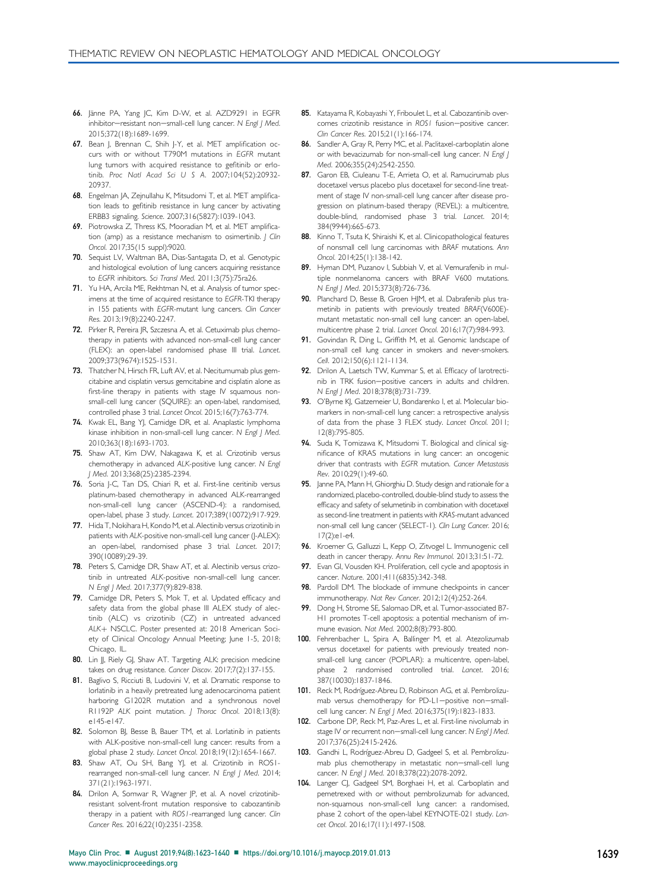- <span id="page-16-0"></span>66. Jänne PA, Yang JC, Kim D-W, et al. AZD9291 in EGFR inhibitor-resistant non-small-cell lung cancer. N Engl J Med. 2015;372(18):1689-1699.
- 67. Bean J, Brennan C, Shih J-Y, et al. MET amplification occurs with or without T790M mutations in EGFR mutant lung tumors with acquired resistance to gefitinib or erlotinib. Proc Natl Acad Sci U S A. 2007;104(52):20932- 20937.
- 68. Engelman JA, Zejnullahu K, Mitsudomi T, et al. MET amplification leads to gefitinib resistance in lung cancer by activating ERBB3 signaling. Science. 2007;316(5827):1039-1043.
- 69. Piotrowska Z, Thress KS, Mooradian M, et al. MET amplification (amp) as a resistance mechanism to osimertinib. J Clin Oncol. 2017;35(15 suppl):9020.
- 70. Sequist LV, Waltman BA, Dias-Santagata D, et al. Genotypic and histological evolution of lung cancers acquiring resistance to EGFR inhibitors. Sci Transl Med. 2011;3(75):75ra26.
- 71. Yu HA, Arcila ME, Rekhtman N, et al. Analysis of tumor specimens at the time of acquired resistance to EGFR-TKI therapy in 155 patients with EGFR-mutant lung cancers. Clin Cancer Res. 2013;19(8):2240-2247.
- 72. Pirker R, Pereira JR, Szczesna A, et al. Cetuximab plus chemotherapy in patients with advanced non-small-cell lung cancer (FLEX): an open-label randomised phase III trial. Lancet. 2009;373(9674):1525-1531.
- 73. Thatcher N, Hirsch FR, Luft AV, et al. Necitumumab plus gemcitabine and cisplatin versus gemcitabine and cisplatin alone as first-line therapy in patients with stage IV squamous nonsmall-cell lung cancer (SQUIRE): an open-label, randomised, controlled phase 3 trial. Lancet Oncol. 2015;16(7):763-774.
- 74. Kwak EL, Bang YJ, Camidge DR, et al. Anaplastic lymphoma kinase inhibition in non-small-cell lung cancer. N Engl J Med. 2010;363(18):1693-1703.
- 75. Shaw AT, Kim DW, Nakagawa K, et al. Crizotinib versus chemotherapy in advanced ALK-positive lung cancer. N Engl J Med. 2013;368(25):2385-2394.
- 76. Soria J-C, Tan DS, Chiari R, et al. First-line ceritinib versus platinum-based chemotherapy in advanced ALK-rearranged non-small-cell lung cancer (ASCEND-4): a randomised, open-label, phase 3 study. Lancet. 2017;389(10072):917-929.
- 77. Hida T, Nokihara H, Kondo M, et al. Alectinib versus crizotinib in patients with ALK-positive non-small-cell lung cancer (J-ALEX): an open-label, randomised phase 3 trial. Lancet. 2017; 390(10089):29-39.
- 78. Peters S, Camidge DR, Shaw AT, et al. Alectinib versus crizotinib in untreated ALK-positive non-small-cell lung cancer. N Engl J Med. 2017;377(9):829-838.
- 79. Camidge DR, Peters S, Mok T, et al. Updated efficacy and safety data from the global phase III ALEX study of alectinib (ALC) vs crizotinib (CZ) in untreated advanced ALK+ NSCLC. Poster presented at: 2018 American Society of Clinical Oncology Annual Meeting; June 1-5, 2018; Chicago, IL.
- 80. Lin JJ, Riely GJ, Shaw AT. Targeting ALK: precision medicine takes on drug resistance. Cancer Discov. 2017;7(2):137-155.
- 81. Baglivo S, Ricciuti B, Ludovini V, et al. Dramatic response to lorlatinib in a heavily pretreated lung adenocarcinoma patient harboring G1202R mutation and a synchronous novel R1192P ALK point mutation. J Thorac Oncol. 2018;13(8): e145-e147.
- 82. Solomon BJ, Besse B, Bauer TM, et al. Lorlatinib in patients with ALK-positive non-small-cell lung cancer: results from a global phase 2 study. Lancet Oncol. 2018;19(12):1654-1667.
- 83. Shaw AT, Ou SH, Bang YJ, et al. Crizotinib in ROS1rearranged non-small-cell lung cancer. N Engl J Med. 2014; 371(21):1963-1971.
- 84. Drilon A, Somwar R, Wagner JP, et al. A novel crizotinibresistant solvent-front mutation responsive to cabozantinib therapy in a patient with ROS1-rearranged lung cancer. Clin Cancer Res. 2016;22(10):2351-2358.
- 85. Katayama R, Kobayashi Y, Friboulet L, et al. Cabozantinib overcomes crizotinib resistance in ROS1 fusion-positive cancer. Clin Cancer Res. 2015;21(1):166-174.
- 86. Sandler A, Gray R, Perry MC, et al. Paclitaxel-carboplatin alone or with bevacizumab for non-small-cell lung cancer. N Engl J Med. 2006;355(24):2542-2550.
- 87. Garon EB, Ciuleanu T-E, Amieta O, et al. Ramucirumab plus docetaxel versus placebo plus docetaxel for second-line treatment of stage IV non-small-cell lung cancer after disease progression on platinum-based therapy (REVEL): a multicentre, double-blind, randomised phase 3 trial. Lancet. 2014; 384(9944):665-673.
- 88. Kinno T, Tsuta K, Shiraishi K, et al. Clinicopathological features of nonsmall cell lung carcinomas with BRAF mutations. Ann Oncol. 2014;25(1):138-142.
- 89. Hyman DM, Puzanov I, Subbiah V, et al. Vemurafenib in multiple nonmelanoma cancers with BRAF V600 mutations. N Engl J Med. 2015;373(8):726-736.
- 90. Planchard D, Besse B, Groen HJM, et al. Dabrafenib plus trametinib in patients with previously treated BRAF(V600E) mutant metastatic non-small cell lung cancer: an open-label, multicentre phase 2 trial. Lancet Oncol. 2016;17(7):984-993.
- 91. Govindan R, Ding L, Griffith M, et al. Genomic landscape of non-small cell lung cancer in smokers and never-smokers. Cell. 2012;150(6):1121-1134.
- 92. Drilon A, Laetsch TW, Kummar S, et al. Efficacy of larotrectinib in TRK fusion-positive cancers in adults and children. N Engl J Med. 2018;378(8):731-739.
- 93. O'Byrne KJ, Gatzemeier U, Bondarenko I, et al. Molecular biomarkers in non-small-cell lung cancer: a retrospective analysis of data from the phase 3 FLEX study. Lancet Oncol. 2011; 12(8):795-805.
- 94. Suda K, Tomizawa K, Mitsudomi T. Biological and clinical significance of KRAS mutations in lung cancer: an oncogenic driver that contrasts with EGFR mutation. Cancer Metastasis Rev. 2010;29(1):49-60.
- 95. Janne PA, Mann H, Ghiorghiu D. Study design and rationale for a randomized, placebo-controlled, double-blind study to assess the efficacy and safety of selumetinib in combination with docetaxel as second-line treatment in patients with KRAS-mutant advanced non-small cell lung cancer (SELECT-1). Clin Lung Cancer. 2016; 17(2):e1-e4.
- 96. Kroemer G, Galluzzi L, Kepp O, Zitvogel L. Immunogenic cell death in cancer therapy. Annu Rev Immunol. 2013;31:51-72.
- 97. Evan GI, Vousden KH. Proliferation, cell cycle and apoptosis in cancer. Nature. 2001;411(6835):342-348.
- 98. Pardoll DM. The blockade of immune checkpoints in cancer immunotherapy. Nat Rev Cancer. 2012;12(4):252-264.
- 99. Dong H, Strome SE, Salomao DR, et al. Tumor-associated B7- H1 promotes T-cell apoptosis: a potential mechanism of immune evasion. Nat Med. 2002;8(8):793-800.
- 100. Fehrenbacher L, Spira A, Ballinger M, et al. Atezolizumab versus docetaxel for patients with previously treated nonsmall-cell lung cancer (POPLAR): a multicentre, open-label, phase 2 randomised controlled trial. Lancet. 2016; 387(10030):1837-1846.
- 101. Reck M, Rodríguez-Abreu D, Robinson AG, et al. Pembrolizumab versus chemotherapy for PD-L1-positive non-smallcell lung cancer. N Engl J Med. 2016;375(19):1823-1833.
- 102. Carbone DP, Reck M, Paz-Ares L, et al. First-line nivolumab in stage IV or recurrent non-small-cell lung cancer. N Engl J Med. 2017;376(25):2415-2426.
- 103. Gandhi L, Rodríguez-Abreu D, Gadgeel S, et al. Pembrolizumab plus chemotherapy in metastatic non-small-cell lung cancer. N Engl J Med. 2018;378(22):2078-2092.
- 104. Langer CJ, Gadgeel SM, Borghaei H, et al. Carboplatin and pemetrexed with or without pembrolizumab for advanced, non-squamous non-small-cell lung cancer: a randomised, phase 2 cohort of the open-label KEYNOTE-021 study. Lancet Oncol. 2016;17(11):1497-1508.